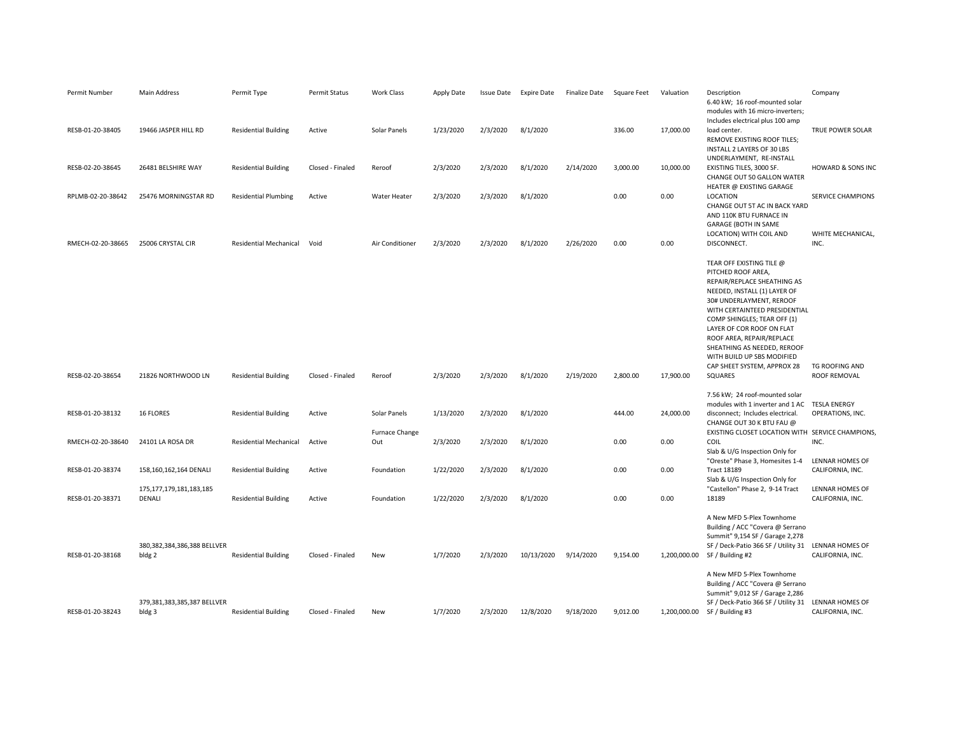| Includes electrical plus 100 amp<br>RESB-01-20-38405<br>19466 JASPER HILL RD<br><b>Residential Building</b><br>Active<br>Solar Panels<br>1/23/2020<br>2/3/2020<br>8/1/2020<br>336.00<br>17,000.00<br>load center.<br>REMOVE EXISTING ROOF TILES;<br>INSTALL 2 LAYERS OF 30 LBS<br>UNDERLAYMENT, RE-INSTALL<br>2/3/2020<br>2/3/2020<br>8/1/2020<br>2/14/2020<br>3,000.00<br>10,000.00<br>RESB-02-20-38645<br>26481 BELSHIRE WAY<br><b>Residential Building</b><br>Closed - Finaled<br>EXISTING TILES, 3000 SF.<br>Reroof<br>CHANGE OUT 50 GALLON WATER       | <b>TRUE POWER SOLAR</b><br><b>HOWARD &amp; SONS INC</b><br>SERVICE CHAMPIONS |
|-------------------------------------------------------------------------------------------------------------------------------------------------------------------------------------------------------------------------------------------------------------------------------------------------------------------------------------------------------------------------------------------------------------------------------------------------------------------------------------------------------------------------------------------------------------|------------------------------------------------------------------------------|
|                                                                                                                                                                                                                                                                                                                                                                                                                                                                                                                                                             |                                                                              |
| HEATER @ EXISTING GARAGE                                                                                                                                                                                                                                                                                                                                                                                                                                                                                                                                    |                                                                              |
| 8/1/2020<br>0.00<br>RPLMB-02-20-38642<br>2/3/2020<br>2/3/2020<br>0.00<br>LOCATION<br>25476 MORNINGSTAR RD<br><b>Residential Plumbing</b><br>Active<br>Water Heater<br>CHANGE OUT 5T AC IN BACK YARD<br>AND 110K BTU FURNACE IN<br><b>GARAGE (BOTH IN SAME</b>                                                                                                                                                                                                                                                                                               |                                                                              |
| LOCATION) WITH COIL AND<br>25006 CRYSTAL CIR<br>Residential Mechanical<br>Air Conditioner<br>2/3/2020<br>2/3/2020<br>8/1/2020<br>2/26/2020<br>0.00<br>0.00<br>DISCONNECT.<br>RMECH-02-20-38665<br>Void                                                                                                                                                                                                                                                                                                                                                      | WHITE MECHANICAL,<br>INC.                                                    |
| TEAR OFF EXISTING TILE @<br>PITCHED ROOF AREA,<br>REPAIR/REPLACE SHEATHING AS<br>NEEDED, INSTALL (1) LAYER OF<br>30# UNDERLAYMENT, REROOF<br>WITH CERTAINTEED PRESIDENTIAL<br>COMP SHINGLES; TEAR OFF (1)<br>LAYER OF COR ROOF ON FLAT<br>ROOF AREA, REPAIR/REPLACE<br>SHEATHING AS NEEDED, REROOF<br>WITH BUILD UP SBS MODIFIED<br>CAP SHEET SYSTEM, APPROX 28<br>RESB-02-20-38654<br>21826 NORTHWOOD LN<br><b>Residential Building</b><br>Closed - Finaled<br>Reroof<br>2/3/2020<br>2/3/2020<br>8/1/2020<br>2/19/2020<br>2,800.00<br>17,900.00<br>SQUARES | TG ROOFING AND<br>ROOF REMOVAL                                               |
| 7.56 kW; 24 roof-mounted solar<br>modules with 1 inverter and 1 AC TESLA ENERGY                                                                                                                                                                                                                                                                                                                                                                                                                                                                             |                                                                              |
| 1/13/2020<br>2/3/2020<br>8/1/2020<br>24,000.00<br>RESB-01-20-38132<br><b>16 FLORES</b><br><b>Residential Building</b><br>Active<br>Solar Panels<br>444.00<br>disconnect; Includes electrical.<br>CHANGE OUT 30 K BTU FAU @                                                                                                                                                                                                                                                                                                                                  | OPERATIONS, INC.                                                             |
| Furnace Change<br>EXISTING CLOSET LOCATION WITH SERVICE CHAMPIONS,<br>0.00<br>COIL<br>RMECH-02-20-38640<br>24101 LA ROSA DR<br>Residential Mechanical<br>Active<br>2/3/2020<br>2/3/2020<br>8/1/2020<br>0.00<br>Out<br>Slab & U/G Inspection Only for                                                                                                                                                                                                                                                                                                        | INC.                                                                         |
| "Oreste" Phase 3, Homesites 1-4<br>RESB-01-20-38374<br>1/22/2020<br>2/3/2020<br>8/1/2020<br>0.00<br>0.00<br><b>Tract 18189</b><br>158,160,162,164 DENALI<br><b>Residential Building</b><br>Active<br>Foundation<br>Slab & U/G Inspection Only for                                                                                                                                                                                                                                                                                                           | LENNAR HOMES OF<br>CALIFORNIA, INC.                                          |
| "Castellon" Phase 2, 9-14 Tract<br>175, 177, 179, 181, 183, 185<br>1/22/2020<br>2/3/2020<br>8/1/2020<br>0.00<br>0.00<br>18189<br>RESB-01-20-38371<br>DENALI<br><b>Residential Building</b><br>Active<br>Foundation                                                                                                                                                                                                                                                                                                                                          | LENNAR HOMES OF<br>CALIFORNIA, INC.                                          |
| A New MFD 5-Plex Townhome<br>Building / ACC "Covera @ Serrano<br>Summit" 9,154 SF / Garage 2,278<br>380,382,384,386,388 BELLVER<br>SF / Deck-Patio 366 SF / Utility 31<br>RESB-01-20-38168<br>1/7/2020<br>2/3/2020<br>10/13/2020<br>9/14/2020<br>9,154.00<br>1,200,000.00<br>SF / Building #2<br>bldg 2<br><b>Residential Building</b><br>Closed - Finaled<br>New                                                                                                                                                                                           | LENNAR HOMES OF<br>CALIFORNIA, INC.                                          |
| A New MFD 5-Plex Townhome<br>Building / ACC "Covera @ Serrano<br>Summit" 9,012 SF / Garage 2,286<br>379,381,383,385,387 BELLVER<br>SF / Deck-Patio 366 SF / Utility 31<br>1/7/2020<br>RESB-01-20-38243<br>2/3/2020<br>12/8/2020<br>9/18/2020<br>9,012.00<br>SF / Building #3<br>bldg 3<br><b>Residential Building</b><br>Closed - Finaled<br>1,200,000.00<br>New                                                                                                                                                                                            | LENNAR HOMES OF<br>CALIFORNIA, INC.                                          |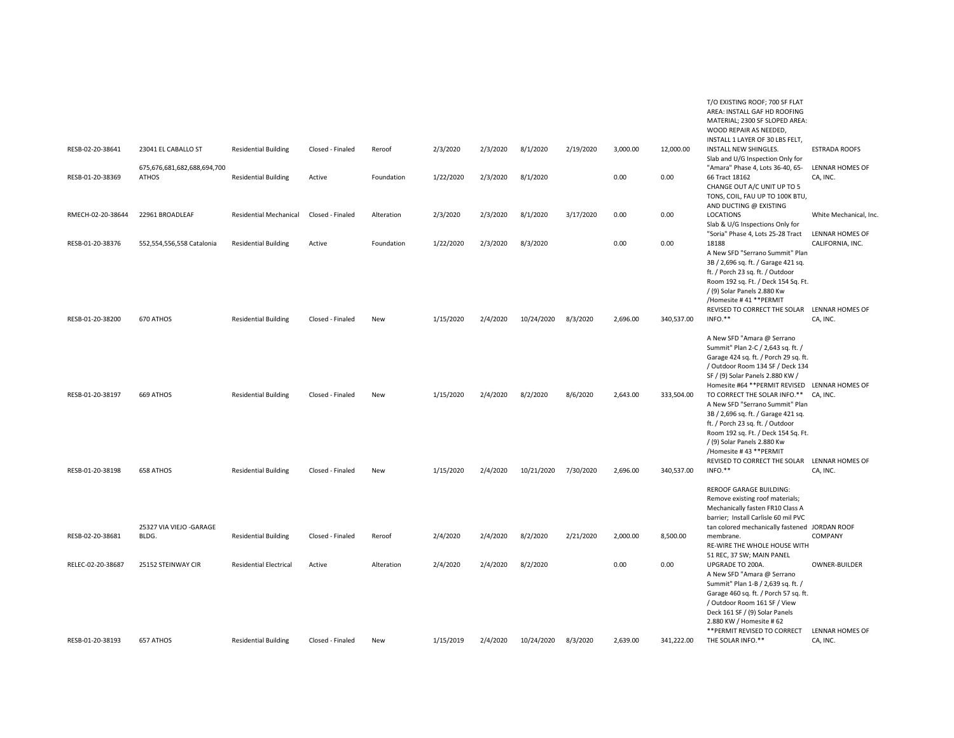|                   |                                             |                               |                  |            |           |          |            |           |          |            | T/O EXISTING ROOF; 700 SF FLAT<br>AREA: INSTALL GAF HD ROOFING<br>MATERIAL; 2300 SF SLOPED AREA:<br>WOOD REPAIR AS NEEDED,<br>INSTALL 1 LAYER OF 30 LBS FELT,                                                                                                                          |                                          |
|-------------------|---------------------------------------------|-------------------------------|------------------|------------|-----------|----------|------------|-----------|----------|------------|----------------------------------------------------------------------------------------------------------------------------------------------------------------------------------------------------------------------------------------------------------------------------------------|------------------------------------------|
| RESB-02-20-38641  | 23041 EL CABALLO ST                         | <b>Residential Building</b>   | Closed - Finaled | Reroof     | 2/3/2020  | 2/3/2020 | 8/1/2020   | 2/19/2020 | 3,000.00 | 12,000.00  | INSTALL NEW SHINGLES.<br>Slab and U/G Inspection Only for                                                                                                                                                                                                                              | <b>ESTRADA ROOFS</b>                     |
| RESB-01-20-38369  | 675,676,681,682,688,694,700<br><b>ATHOS</b> | <b>Residential Building</b>   | Active           | Foundation | 1/22/2020 | 2/3/2020 | 8/1/2020   |           | 0.00     | 0.00       | "Amara" Phase 4, Lots 36-40, 65-<br>66 Tract 18162<br>CHANGE OUT A/C UNIT UP TO 5<br>TONS, COIL, FAU UP TO 100K BTU,<br>AND DUCTING @ EXISTING                                                                                                                                         | LENNAR HOMES OF<br>CA, INC.              |
| RMECH-02-20-38644 | 22961 BROADLEAF                             | <b>Residential Mechanical</b> | Closed - Finaled | Alteration | 2/3/2020  | 2/3/2020 | 8/1/2020   | 3/17/2020 | 0.00     | 0.00       | LOCATIONS<br>Slab & U/G Inspections Only for<br>"Soria" Phase 4, Lots 25-28 Tract                                                                                                                                                                                                      | White Mechanical, Inc<br>LENNAR HOMES OF |
| RESB-01-20-38376  | 552,554,556,558 Catalonia                   | <b>Residential Building</b>   | Active           | Foundation | 1/22/2020 | 2/3/2020 | 8/3/2020   |           | 0.00     | 0.00       | 18188<br>A New SFD "Serrano Summit" Plan<br>3B / 2,696 sq. ft. / Garage 421 sq.<br>ft. / Porch 23 sq. ft. / Outdoor<br>Room 192 sq. Ft. / Deck 154 Sq. Ft.<br>/ (9) Solar Panels 2.880 Kw<br>/Homesite #41 ** PERMIT                                                                   | CALIFORNIA, INC.                         |
| RESB-01-20-38200  | 670 ATHOS                                   | <b>Residential Building</b>   | Closed - Finaled | New        | 1/15/2020 | 2/4/2020 | 10/24/2020 | 8/3/2020  | 2,696.00 | 340,537.00 | REVISED TO CORRECT THE SOLAR LENNAR HOMES OF<br>INFO.**                                                                                                                                                                                                                                | CA, INC.                                 |
| RESB-01-20-38197  | 669 ATHOS                                   | <b>Residential Building</b>   | Closed - Finaled | <b>New</b> | 1/15/2020 | 2/4/2020 | 8/2/2020   | 8/6/2020  | 2,643.00 | 333,504.00 | A New SFD "Amara @ Serrano<br>Summit" Plan 2-C / 2,643 sq. ft. /<br>Garage 424 sq. ft. / Porch 29 sq. ft.<br>/ Outdoor Room 134 SF / Deck 134<br>SF / (9) Solar Panels 2.880 KW /<br>Homesite #64 ** PERMIT REVISED<br>TO CORRECT THE SOLAR INFO.**<br>A New SFD "Serrano Summit" Plan | LENNAR HOMES OF<br>CA. INC.              |
| RESB-01-20-38198  | 658 ATHOS                                   | <b>Residential Building</b>   | Closed - Finaled | <b>New</b> | 1/15/2020 | 2/4/2020 | 10/21/2020 | 7/30/2020 | 2,696.00 | 340,537.00 | 3B / 2,696 sq. ft. / Garage 421 sq.<br>ft. / Porch 23 sq. ft. / Outdoor<br>Room 192 sq. Ft. / Deck 154 Sq. Ft.<br>/ (9) Solar Panels 2.880 Kw<br>/Homesite #43 ** PERMIT<br>REVISED TO CORRECT THE SOLAR LENNAR HOMES OF<br>INFO.**                                                    | CA, INC.                                 |
|                   |                                             |                               |                  |            |           |          |            |           |          |            | <b>REROOF GARAGE BUILDING:</b><br>Remove existing roof materials;<br>Mechanically fasten FR10 Class A<br>barrier; Install Carlisle 60 mil PVC                                                                                                                                          |                                          |
| RESB-02-20-38681  | 25327 VIA VIEJO - GARAGE<br>BLDG.           | <b>Residential Building</b>   | Closed - Finaled | Reroof     | 2/4/2020  | 2/4/2020 | 8/2/2020   | 2/21/2020 | 2,000.00 | 8,500.00   | tan colored mechanically fastened JORDAN ROOF<br>membrane.<br>RE-WIRE THE WHOLE HOUSE WITH                                                                                                                                                                                             | COMPANY                                  |
| RELEC-02-20-38687 | 25152 STEINWAY CIR                          | <b>Residential Electrical</b> | Active           | Alteration | 2/4/2020  | 2/4/2020 | 8/2/2020   |           | 0.00     | 0.00       | 51 REC, 37 SW; MAIN PANEL<br>UPGRADE TO 200A.<br>A New SFD "Amara @ Serrano<br>Summit" Plan 1-B / 2,639 sq. ft. /<br>Garage 460 sq. ft. / Porch 57 sq. ft.<br>/ Outdoor Room 161 SF / View<br>Deck 161 SF / (9) Solar Panels<br>2.880 KW / Homesite # 62                               | OWNER-BUILDER                            |
| RESB-01-20-38193  | 657 ATHOS                                   | <b>Residential Building</b>   | Closed - Finaled | <b>New</b> | 1/15/2019 | 2/4/2020 | 10/24/2020 | 8/3/2020  | 2.639.00 | 341,222.00 | ** PERMIT REVISED TO CORRECT<br>THE SOLAR INFO.**                                                                                                                                                                                                                                      | LENNAR HOMES OF<br>CA, INC.              |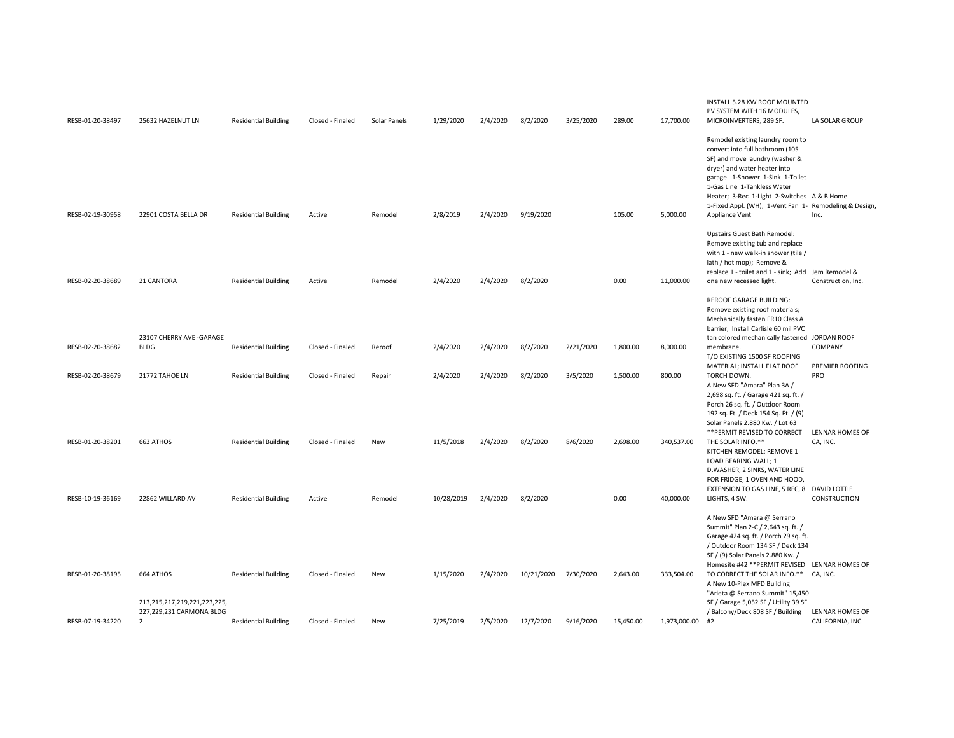| RESB-01-20-38497 | 25632 HAZELNUT LN                          | <b>Residential Building</b> | Closed - Finaled | Solar Panels | 1/29/2020  | 2/4/2020 | 8/2/2020   | 3/25/2020 | 289.00    | 17,700.00       | INSTALL 5.28 KW ROOF MOUNTED<br>PV SYSTEM WITH 16 MODULES,<br>MICROINVERTERS, 289 SF.                                                                                                                                                                                                                                                                                   | LA SOLAR GROUP                      |
|------------------|--------------------------------------------|-----------------------------|------------------|--------------|------------|----------|------------|-----------|-----------|-----------------|-------------------------------------------------------------------------------------------------------------------------------------------------------------------------------------------------------------------------------------------------------------------------------------------------------------------------------------------------------------------------|-------------------------------------|
| RESB-02-19-30958 | 22901 COSTA BELLA DR                       | <b>Residential Building</b> | Active           | Remodel      | 2/8/2019   | 2/4/2020 | 9/19/2020  |           | 105.00    | 5,000.00        | Remodel existing laundry room to<br>convert into full bathroom (105<br>SF) and move laundry (washer &<br>dryer) and water heater into<br>garage. 1-Shower 1-Sink 1-Toilet<br>1-Gas Line 1-Tankless Water<br>Heater; 3-Rec 1-Light 2-Switches A & B Home<br>1-Fixed Appl. (WH); 1-Vent Fan 1- Remodeling & Design,<br>Appliance Vent                                     | Inc.                                |
|                  |                                            |                             |                  |              |            |          |            |           |           |                 | Upstairs Guest Bath Remodel:<br>Remove existing tub and replace<br>with 1 - new walk-in shower (tile /<br>lath / hot mop); Remove &<br>replace 1 - toilet and 1 - sink; Add Jem Remodel &                                                                                                                                                                               |                                     |
| RESB-02-20-38689 | 21 CANTORA                                 | <b>Residential Building</b> | Active           | Remodel      | 2/4/2020   | 2/4/2020 | 8/2/2020   |           | 0.00      | 11,000.00       | one new recessed light.                                                                                                                                                                                                                                                                                                                                                 | Construction, Inc.                  |
|                  | 23107 CHERRY AVE -GARAGE                   |                             |                  |              |            |          |            |           |           |                 | <b>REROOF GARAGE BUILDING:</b><br>Remove existing roof materials;<br>Mechanically fasten FR10 Class A<br>barrier; Install Carlisle 60 mil PVC<br>tan colored mechanically fastened JORDAN ROOF                                                                                                                                                                          |                                     |
| RESB-02-20-38682 | BLDG.                                      | <b>Residential Building</b> | Closed - Finaled | Reroof       | 2/4/2020   | 2/4/2020 | 8/2/2020   | 2/21/2020 | 1,800.00  | 8,000.00        | membrane.<br>T/O EXISTING 1500 SF ROOFING<br>MATERIAL; INSTALL FLAT ROOF                                                                                                                                                                                                                                                                                                | COMPANY<br>PREMIER ROOFING          |
| RESB-02-20-38679 | 21772 TAHOE LN                             | <b>Residential Building</b> | Closed - Finaled | Repair       | 2/4/2020   | 2/4/2020 | 8/2/2020   | 3/5/2020  | 1,500.00  | 800.00          | TORCH DOWN.<br>A New SFD "Amara" Plan 3A /<br>2,698 sq. ft. / Garage 421 sq. ft. /<br>Porch 26 sq. ft. / Outdoor Room<br>192 sq. Ft. / Deck 154 Sq. Ft. / (9)<br>Solar Panels 2.880 Kw. / Lot 63<br>** PERMIT REVISED TO CORRECT                                                                                                                                        | PRO<br>LENNAR HOMES OF              |
| RESB-01-20-38201 | 663 ATHOS                                  | <b>Residential Building</b> | Closed - Finaled | New          | 11/5/2018  | 2/4/2020 | 8/2/2020   | 8/6/2020  | 2,698.00  | 340,537.00      | THE SOLAR INFO.**<br>KITCHEN REMODEL: REMOVE 1<br>LOAD BEARING WALL; 1<br>D.WASHER, 2 SINKS, WATER LINE<br>FOR FRIDGE, 1 OVEN AND HOOD,                                                                                                                                                                                                                                 | CA, INC.                            |
| RESB-10-19-36169 | 22862 WILLARD AV                           | <b>Residential Building</b> | Active           | Remodel      | 10/28/2019 | 2/4/2020 | 8/2/2020   |           | 0.00      | 40,000.00       | EXTENSION TO GAS LINE, 5 REC, 8 DAVID LOTTIE<br>LIGHTS, 4 SW.                                                                                                                                                                                                                                                                                                           | CONSTRUCTION                        |
| RESB-01-20-38195 | 664 ATHOS<br>213,215,217,219,221,223,225,  | <b>Residential Building</b> | Closed - Finaled | New          | 1/15/2020  | 2/4/2020 | 10/21/2020 | 7/30/2020 | 2,643.00  | 333,504.00      | A New SFD "Amara @ Serrano<br>Summit" Plan 2-C / 2,643 sq. ft. /<br>Garage 424 sq. ft. / Porch 29 sq. ft.<br>/ Outdoor Room 134 SF / Deck 134<br>SF / (9) Solar Panels 2.880 Kw. /<br>Homesite #42 ** PERMIT REVISED<br>TO CORRECT THE SOLAR INFO.** CA, INC.<br>A New 10-Plex MFD Building<br>"Arieta @ Serrano Summit" 15,450<br>SF / Garage 5,052 SF / Utility 39 SF | LENNAR HOMES OF                     |
| RESB-07-19-34220 | 227,229,231 CARMONA BLDG<br>$\overline{2}$ | <b>Residential Building</b> | Closed - Finaled | New          | 7/25/2019  | 2/5/2020 | 12/7/2020  | 9/16/2020 | 15,450.00 | 1,973,000.00 #2 | / Balcony/Deck 808 SF / Building                                                                                                                                                                                                                                                                                                                                        | LENNAR HOMES OF<br>CALIFORNIA, INC. |
|                  |                                            |                             |                  |              |            |          |            |           |           |                 |                                                                                                                                                                                                                                                                                                                                                                         |                                     |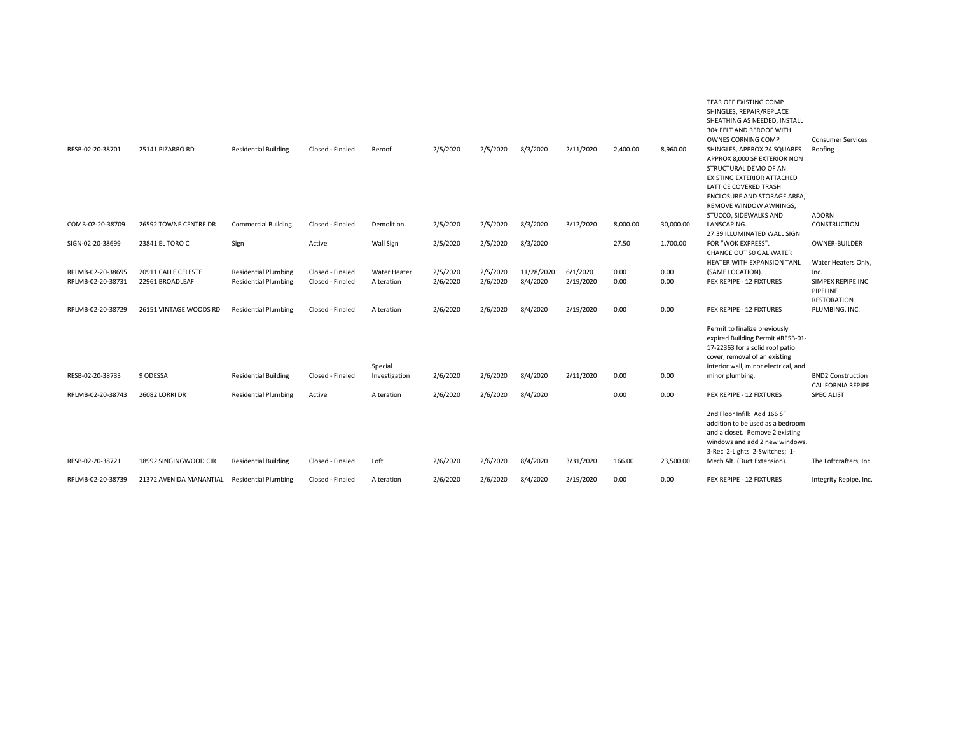| RESB-02-20-38701  | 25141 PIZARRO RD        | <b>Residential Building</b> | Closed - Finaled | Reroof                   | 2/5/2020 | 2/5/2020 | 8/3/2020   | 2/11/2020 | 2,400.00 | 8,960.00  | TEAR OFF EXISTING COMP<br>SHINGLES, REPAIR/REPLACE<br>SHEATHING AS NEEDED, INSTALL<br>30# FELT AND REROOF WITH<br><b>OWNES CORNING COMP</b><br>SHINGLES, APPROX 24 SQUARES<br>APPROX 8,000 SF EXTERIOR NON<br>STRUCTURAL DEMO OF AN<br>EXISTING EXTERIOR ATTACHED<br>LATTICE COVERED TRASH<br>ENCLOSURE AND STORAGE AREA,<br>REMOVE WINDOW AWNINGS,<br>STUCCO, SIDEWALKS AND | <b>Consumer Services</b><br>Roofing<br><b>ADORN</b> |
|-------------------|-------------------------|-----------------------------|------------------|--------------------------|----------|----------|------------|-----------|----------|-----------|------------------------------------------------------------------------------------------------------------------------------------------------------------------------------------------------------------------------------------------------------------------------------------------------------------------------------------------------------------------------------|-----------------------------------------------------|
| COMB-02-20-38709  | 26592 TOWNE CENTRE DR   | <b>Commercial Building</b>  | Closed - Finaled | Demolition               | 2/5/2020 | 2/5/2020 | 8/3/2020   | 3/12/2020 | 8,000.00 | 30,000.00 | LANSCAPING.<br>27.39 ILLUMINATED WALL SIGN                                                                                                                                                                                                                                                                                                                                   | CONSTRUCTION                                        |
| SIGN-02-20-38699  | 23841 EL TORO C         | Sign                        | Active           | Wall Sign                | 2/5/2020 | 2/5/2020 | 8/3/2020   |           | 27.50    | 1,700.00  | FOR "WOK EXPRESS".<br>CHANGE OUT 50 GAL WATER<br>HEATER WITH EXPANSION TANL                                                                                                                                                                                                                                                                                                  | OWNER-BUILDER<br>Water Heaters Only,                |
| RPLMB-02-20-38695 | 20911 CALLE CELESTE     | <b>Residential Plumbing</b> | Closed - Finaled | <b>Water Heater</b>      | 2/5/2020 | 2/5/2020 | 11/28/2020 | 6/1/2020  | 0.00     | 0.00      | (SAME LOCATION).                                                                                                                                                                                                                                                                                                                                                             | Inc.                                                |
| RPLMB-02-20-38731 | 22961 BROADLEAF         | <b>Residential Plumbing</b> | Closed - Finaled | Alteration               | 2/6/2020 | 2/6/2020 | 8/4/2020   | 2/19/2020 | 0.00     | 0.00      | PEX REPIPE - 12 FIXTURES                                                                                                                                                                                                                                                                                                                                                     | SIMPEX REPIPE INC<br>PIPELINE<br><b>RESTORATION</b> |
| RPLMB-02-20-38729 | 26151 VINTAGE WOODS RD  | <b>Residential Plumbing</b> | Closed - Finaled | Alteration               | 2/6/2020 | 2/6/2020 | 8/4/2020   | 2/19/2020 | 0.00     | 0.00      | PEX REPIPE - 12 FIXTURES                                                                                                                                                                                                                                                                                                                                                     | PLUMBING, INC.                                      |
| RESB-02-20-38733  | 9 ODESSA                | <b>Residential Building</b> | Closed - Finaled | Special<br>Investigation | 2/6/2020 | 2/6/2020 | 8/4/2020   | 2/11/2020 | 0.00     | 0.00      | Permit to finalize previously<br>expired Building Permit #RESB-01-<br>17-22363 for a solid roof patio<br>cover, removal of an existing<br>interior wall, minor electrical, and<br>minor plumbing.                                                                                                                                                                            | <b>BND2 Construction</b>                            |
|                   |                         |                             |                  |                          |          |          |            |           |          |           |                                                                                                                                                                                                                                                                                                                                                                              | <b>CALIFORNIA REPIPE</b>                            |
| RPLMB-02-20-38743 | 26082 LORRI DR          | <b>Residential Plumbing</b> | Active           | Alteration               | 2/6/2020 | 2/6/2020 | 8/4/2020   |           | 0.00     | 0.00      | PEX REPIPE - 12 FIXTURES                                                                                                                                                                                                                                                                                                                                                     | SPECIALIST                                          |
|                   |                         |                             |                  |                          |          |          |            |           |          |           | 2nd Floor Infill: Add 166 SF<br>addition to be used as a bedroom<br>and a closet. Remove 2 existing<br>windows and add 2 new windows.<br>3-Rec 2-Lights 2-Switches; 1-                                                                                                                                                                                                       |                                                     |
| RESB-02-20-38721  | 18992 SINGINGWOOD CIR   | <b>Residential Building</b> | Closed - Finaled | Loft                     | 2/6/2020 | 2/6/2020 | 8/4/2020   | 3/31/2020 | 166.00   | 23,500.00 | Mech Alt. (Duct Extension).                                                                                                                                                                                                                                                                                                                                                  | The Loftcrafters, Inc.                              |
| RPLMB-02-20-38739 | 21372 AVENIDA MANANTIAL | <b>Residential Plumbing</b> | Closed - Finaled | Alteration               | 2/6/2020 | 2/6/2020 | 8/4/2020   | 2/19/2020 | 0.00     | 0.00      | PEX REPIPE - 12 FIXTURES                                                                                                                                                                                                                                                                                                                                                     | Integrity Repipe, Inc.                              |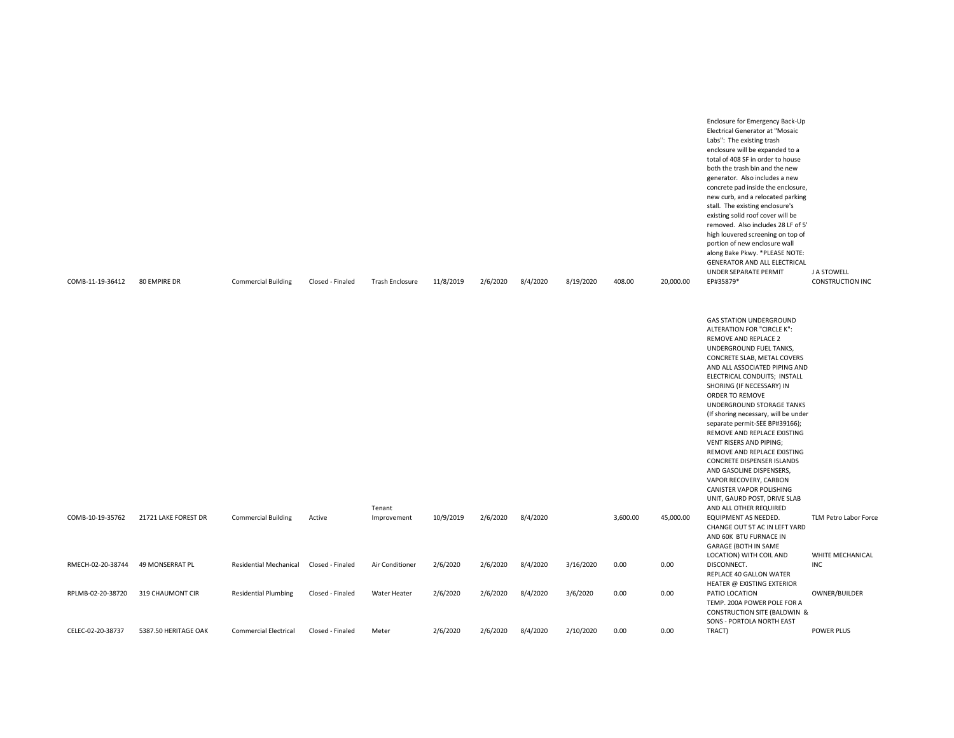| COMB-11-19-36412  | 80 EMPIRE DR           | <b>Commercial Building</b>    | Closed - Finaled | Trash Enclosure       | 11/8/2019 | 2/6/2020 | 8/4/2020 | 8/19/2020 | 408.00   | 20,000.00 | enclosure will be expanded to a<br>total of 408 SF in order to house<br>both the trash bin and the new<br>generator. Also includes a new<br>concrete pad inside the enclosure,<br>new curb, and a relocated parking<br>stall. The existing enclosure's<br>existing solid roof cover will be<br>removed. Also includes 28 LF of 5'<br>high louvered screening on top of<br>portion of new enclosure wall<br>along Bake Pkwy. *PLEASE NOTE:<br>GENERATOR AND ALL ELECTRICAL<br>UNDER SEPARATE PERMIT<br>EP#35879*                                                                                                        | J A STOWELL<br><b>CONSTRUCTION INC</b> |
|-------------------|------------------------|-------------------------------|------------------|-----------------------|-----------|----------|----------|-----------|----------|-----------|------------------------------------------------------------------------------------------------------------------------------------------------------------------------------------------------------------------------------------------------------------------------------------------------------------------------------------------------------------------------------------------------------------------------------------------------------------------------------------------------------------------------------------------------------------------------------------------------------------------------|----------------------------------------|
|                   |                        |                               |                  |                       |           |          |          |           |          |           | <b>GAS STATION UNDERGROUND</b><br>ALTERATION FOR "CIRCLE K":<br>REMOVE AND REPLACE 2<br>UNDERGROUND FUEL TANKS,<br>CONCRETE SLAB, METAL COVERS<br>AND ALL ASSOCIATED PIPING AND<br>ELECTRICAL CONDUITS; INSTALL<br>SHORING (IF NECESSARY) IN<br>ORDER TO REMOVE<br>UNDERGROUND STORAGE TANKS<br>(If shoring necessary, will be under<br>separate permit-SEE BP#39166);<br>REMOVE AND REPLACE EXISTING<br><b>VENT RISERS AND PIPING;</b><br>REMOVE AND REPLACE EXISTING<br>CONCRETE DISPENSER ISLANDS<br>AND GASOLINE DISPENSERS,<br>VAPOR RECOVERY, CARBON<br>CANISTER VAPOR POLISHING<br>UNIT, GAURD POST, DRIVE SLAB |                                        |
| COMB-10-19-35762  | 21721 LAKE FOREST DR   | <b>Commercial Building</b>    | Active           | Tenant<br>Improvement | 10/9/2019 | 2/6/2020 | 8/4/2020 |           | 3,600.00 | 45,000.00 | AND ALL OTHER REQUIRED<br>EQUIPMENT AS NEEDED.<br>CHANGE OUT 5T AC IN LEFT YARD<br>AND 60K BTU FURNACE IN<br>GARAGE (BOTH IN SAME                                                                                                                                                                                                                                                                                                                                                                                                                                                                                      | TLM Petro Labor Force                  |
| RMECH-02-20-38744 | <b>49 MONSERRAT PL</b> | <b>Residential Mechanical</b> | Closed - Finaled | Air Conditioner       | 2/6/2020  | 2/6/2020 | 8/4/2020 | 3/16/2020 | 0.00     | 0.00      | LOCATION) WITH COIL AND<br>DISCONNECT.<br>REPLACE 40 GALLON WATER<br>HEATER @ EXISTING EXTERIOR                                                                                                                                                                                                                                                                                                                                                                                                                                                                                                                        | WHITE MECHANICAL<br><b>INC</b>         |
| RPLMB-02-20-38720 | 319 CHAUMONT CIR       | <b>Residential Plumbing</b>   | Closed - Finaled | <b>Water Heater</b>   | 2/6/2020  | 2/6/2020 | 8/4/2020 | 3/6/2020  | 0.00     | 0.00      | PATIO LOCATION<br>TEMP. 200A POWER POLE FOR A<br><b>CONSTRUCTION SITE (BALDWIN &amp;</b>                                                                                                                                                                                                                                                                                                                                                                                                                                                                                                                               | OWNER/BUILDER                          |
| CELEC-02-20-38737 | 5387.50 HERITAGE OAK   | <b>Commercial Electrical</b>  | Closed - Finaled | Meter                 | 2/6/2020  | 2/6/2020 | 8/4/2020 | 2/10/2020 | 0.00     | 0.00      | SONS - PORTOLA NORTH EAST<br>TRACT)                                                                                                                                                                                                                                                                                                                                                                                                                                                                                                                                                                                    | <b>POWER PLUS</b>                      |

Enclosure for Emergency Back-Up Electrical Generator at "Mosaic Labs": The existing trash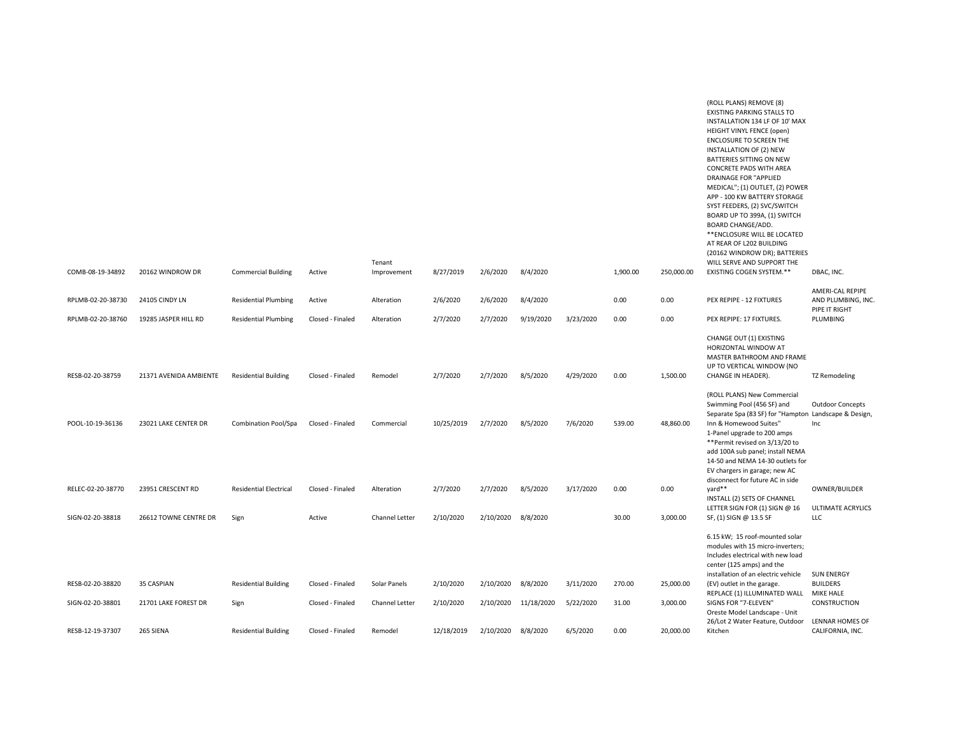| COMB-08-19-34892  | 20162 WINDROW DR       | <b>Commercial Building</b>    | Active           | Tenant<br>Improvement | 8/27/2019  | 2/6/2020  | 8/4/2020   |           | 1,900.00 | 250,000.00 | (ROLL PLANS) REMOVE (8)<br><b>EXISTING PARKING STALLS TO</b><br>INSTALLATION 134 LF OF 10' MAX<br>HEIGHT VINYL FENCE (open)<br>ENCLOSURE TO SCREEN THE<br>INSTALLATION OF (2) NEW<br>BATTERIES SITTING ON NEW<br><b>CONCRETE PADS WITH AREA</b><br><b>DRAINAGE FOR "APPLIED</b><br>MEDICAL"; (1) OUTLET, (2) POWER<br>APP - 100 KW BATTERY STORAGE<br>SYST FEEDERS, (2) SVC/SWITCH<br>BOARD UP TO 399A, (1) SWITCH<br><b>BOARD CHANGE/ADD.</b><br>** ENCLOSURE WILL BE LOCATED<br>AT REAR OF L202 BUILDING<br>(20162 WINDROW DR); BATTERIES<br>WILL SERVE AND SUPPORT THE<br>EXISTING COGEN SYSTEM.** | DBAC, INC.                                             |
|-------------------|------------------------|-------------------------------|------------------|-----------------------|------------|-----------|------------|-----------|----------|------------|-------------------------------------------------------------------------------------------------------------------------------------------------------------------------------------------------------------------------------------------------------------------------------------------------------------------------------------------------------------------------------------------------------------------------------------------------------------------------------------------------------------------------------------------------------------------------------------------------------|--------------------------------------------------------|
|                   |                        |                               |                  |                       |            |           |            |           |          |            |                                                                                                                                                                                                                                                                                                                                                                                                                                                                                                                                                                                                       |                                                        |
| RPLMB-02-20-38730 | 24105 CINDY LN         | <b>Residential Plumbing</b>   | Active           | Alteration            | 2/6/2020   | 2/6/2020  | 8/4/2020   |           | 0.00     | 0.00       | PEX REPIPE - 12 FIXTURES                                                                                                                                                                                                                                                                                                                                                                                                                                                                                                                                                                              | AMERI-CAL REPIPE<br>AND PLUMBING, INC<br>PIPE IT RIGHT |
| RPLMB-02-20-38760 | 19285 JASPER HILL RD   | <b>Residential Plumbing</b>   | Closed - Finaled | Alteration            | 2/7/2020   | 2/7/2020  | 9/19/2020  | 3/23/2020 | 0.00     | 0.00       | PEX REPIPE: 17 FIXTURES.                                                                                                                                                                                                                                                                                                                                                                                                                                                                                                                                                                              | PLUMBING                                               |
| RESB-02-20-38759  | 21371 AVENIDA AMBIENTE | <b>Residential Building</b>   | Closed - Finaled | Remodel               | 2/7/2020   | 2/7/2020  | 8/5/2020   | 4/29/2020 | 0.00     | 1,500.00   | CHANGE OUT (1) EXISTING<br>HORIZONTAL WINDOW AT<br>MASTER BATHROOM AND FRAME<br>UP TO VERTICAL WINDOW (NO<br>CHANGE IN HEADER).                                                                                                                                                                                                                                                                                                                                                                                                                                                                       | <b>TZ Remodeling</b>                                   |
|                   |                        |                               |                  |                       |            |           |            |           |          |            | (ROLL PLANS) New Commercial                                                                                                                                                                                                                                                                                                                                                                                                                                                                                                                                                                           |                                                        |
| POOL-10-19-36136  | 23021 LAKE CENTER DR   | Combination Pool/Spa          | Closed - Finaled | Commercial            | 10/25/2019 | 2/7/2020  | 8/5/2020   | 7/6/2020  | 539.00   | 48,860.00  | Swimming Pool (456 SF) and<br>Separate Spa (83 SF) for "Hampton Landscape & Design,<br>Inn & Homewood Suites"<br>1-Panel upgrade to 200 amps<br>**Permit revised on 3/13/20 to<br>add 100A sub panel; install NEMA<br>14-50 and NEMA 14-30 outlets for<br>EV chargers in garage; new AC                                                                                                                                                                                                                                                                                                               | <b>Outdoor Concepts</b><br>Inc                         |
| RELEC-02-20-38770 | 23951 CRESCENT RD      | <b>Residential Electrical</b> | Closed - Finaled | Alteration            | 2/7/2020   | 2/7/2020  | 8/5/2020   | 3/17/2020 | 0.00     | 0.00       | disconnect for future AC in side<br>yard**                                                                                                                                                                                                                                                                                                                                                                                                                                                                                                                                                            | OWNER/BUILDER                                          |
| SIGN-02-20-38818  | 26612 TOWNE CENTRE DR  | Sign                          | Active           | Channel Letter        | 2/10/2020  | 2/10/2020 | 8/8/2020   |           | 30.00    | 3,000.00   | INSTALL (2) SETS OF CHANNEL<br>LETTER SIGN FOR (1) SIGN @ 16<br>SF, (1) SIGN @ 13.5 SF                                                                                                                                                                                                                                                                                                                                                                                                                                                                                                                | ULTIMATE ACRYLICS<br><b>LLC</b>                        |
|                   |                        |                               |                  |                       |            |           |            |           |          |            | 6.15 kW; 15 roof-mounted solar<br>modules with 15 micro-inverters;<br>Includes electrical with new load<br>center (125 amps) and the<br>installation of an electric vehicle                                                                                                                                                                                                                                                                                                                                                                                                                           | <b>SUN ENERGY</b>                                      |
| RESB-02-20-38820  | 35 CASPIAN             | <b>Residential Building</b>   | Closed - Finaled | Solar Panels          | 2/10/2020  | 2/10/2020 | 8/8/2020   | 3/11/2020 | 270.00   | 25,000.00  | (EV) outlet in the garage.<br>REPLACE (1) ILLUMINATED WALL                                                                                                                                                                                                                                                                                                                                                                                                                                                                                                                                            | <b>BUILDERS</b><br>MIKE HALE                           |
| SIGN-02-20-38801  | 21701 LAKE FOREST DR   | Sign                          | Closed - Finaled | Channel Letter        | 2/10/2020  | 2/10/2020 | 11/18/2020 | 5/22/2020 | 31.00    | 3,000.00   | SIGNS FOR "7-ELEVEN"<br>Oreste Model Landscape - Unit<br>26/Lot 2 Water Feature, Outdoor                                                                                                                                                                                                                                                                                                                                                                                                                                                                                                              | CONSTRUCTION<br>LENNAR HOMES OF                        |
| RESB-12-19-37307  | 265 SIENA              | <b>Residential Building</b>   | Closed - Finaled | Remodel               | 12/18/2019 | 2/10/2020 | 8/8/2020   | 6/5/2020  | 0.00     | 20,000.00  | Kitchen                                                                                                                                                                                                                                                                                                                                                                                                                                                                                                                                                                                               | CALIFORNIA, INC.                                       |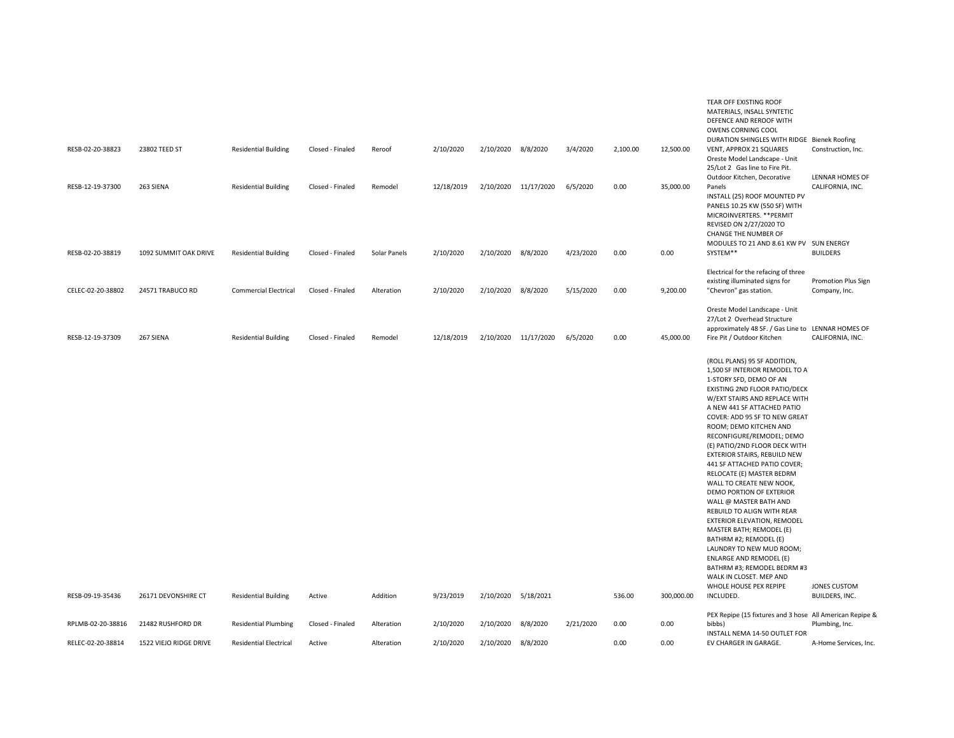| 2/10/2020<br>12,500.00<br>RESB-02-20-38823<br>23802 TEED ST<br><b>Residential Building</b><br>Closed - Finaled<br>Reroof<br>2/10/2020 8/8/2020<br>3/4/2020<br>2,100.00<br>VENT, APPROX 21 SQUARES<br>Construction, Inc.<br>Oreste Model Landscape - Unit<br>25/Lot 2 Gas line to Fire Pit.<br>Outdoor Kitchen, Decorative<br>LENNAR HOMES OF<br>6/5/2020<br>0.00<br>Panels<br>RESB-12-19-37300<br>263 SIENA<br><b>Residential Building</b><br>Closed - Finaled<br>Remodel<br>12/18/2019<br>2/10/2020 11/17/2020<br>35,000.00<br>CALIFORNIA, INC.<br>INSTALL (25) ROOF MOUNTED PV<br>PANELS 10.25 KW (550 SF) WITH<br>MICROINVERTERS. ** PERMIT<br>REVISED ON 2/27/2020 TO<br>CHANGE THE NUMBER OF<br>MODULES TO 21 AND 8.61 KW PV SUN ENERGY<br>2/10/2020<br>2/10/2020 8/8/2020<br>4/23/2020<br>0.00<br>0.00<br>SYSTEM**<br><b>BUILDERS</b><br>RESB-02-20-38819<br>1092 SUMMIT OAK DRIVE<br><b>Residential Building</b><br>Closed - Finaled<br>Solar Panels<br>Electrical for the refacing of three<br>existing illuminated signs for<br><b>Promotion Plus Sign</b><br>CELEC-02-20-38802<br>24571 TRABUCO RD<br><b>Commercial Electrical</b><br>Closed - Finaled<br>2/10/2020<br>2/10/2020 8/8/2020<br>5/15/2020<br>0.00<br>9,200.00<br>"Chevron" gas station.<br>Alteration<br>Company, Inc.<br>Oreste Model Landscape - Unit<br>27/Lot 2 Overhead Structure<br>approximately 48 SF. / Gas Line to LENNAR HOMES OF<br>267 SIENA<br>6/5/2020<br>0.00<br>45,000.00<br>Fire Pit / Outdoor Kitchen<br>CALIFORNIA, INC.<br>RESB-12-19-37309<br><b>Residential Building</b><br>Closed - Finaled<br>Remodel<br>12/18/2019<br>2/10/2020 11/17/2020<br>(ROLL PLANS) 95 SF ADDITION,<br>1,500 SF INTERIOR REMODEL TO A<br>1-STORY SFD, DEMO OF AN<br>EXISTING 2ND FLOOR PATIO/DECK<br>W/EXT STAIRS AND REPLACE WITH<br>A NEW 441 SF ATTACHED PATIO<br>COVER: ADD 95 SF TO NEW GREAT<br>ROOM; DEMO KITCHEN AND<br>RECONFIGURE/REMODEL; DEMO<br>(E) PATIO/2ND FLOOR DECK WITH<br>EXTERIOR STAIRS, REBUILD NEW<br>441 SF ATTACHED PATIO COVER;<br>RELOCATE (E) MASTER BEDRM<br>WALL TO CREATE NEW NOOK,<br>DEMO PORTION OF EXTERIOR<br>WALL @ MASTER BATH AND<br>REBUILD TO ALIGN WITH REAR<br>EXTERIOR ELEVATION, REMODEL<br>MASTER BATH; REMODEL (E)<br>BATHRM #2; REMODEL (E)<br>LAUNDRY TO NEW MUD ROOM;<br><b>ENLARGE AND REMODEL (E)</b><br>BATHRM #3; REMODEL BEDRM #3<br>WALK IN CLOSET. MEP AND<br>WHOLE HOUSE PEX REPIPE<br><b>JONES CUSTOM</b><br>RESB-09-19-35436<br>26171 DEVONSHIRE CT<br><b>Residential Building</b><br>Addition<br>9/23/2019<br>2/10/2020 5/18/2021<br>536.00<br>300,000.00<br>INCLUDED.<br>BUILDERS, INC.<br>Active<br>PEX Repipe (15 fixtures and 3 hose All American Repipe &<br>RPLMB-02-20-38816<br>21482 RUSHFORD DR<br>2/10/2020<br>2/10/2020<br>8/8/2020<br>2/21/2020<br>0.00<br>0.00<br>Plumbing, Inc.<br><b>Residential Plumbing</b><br>Closed - Finaled<br>Alteration<br>bibbs)<br>INSTALL NEMA 14-50 OUTLET FOR |                   |                        |                               |        |            |           |           |          |      |      | TEAR OFF EXISTING ROOF<br>MATERIALS, INSALL SYNTETIC<br>DEFENCE AND REROOF WITH<br>OWENS CORNING COOL<br>DURATION SHINGLES WITH RIDGE Bienek Roofing |                       |
|-------------------------------------------------------------------------------------------------------------------------------------------------------------------------------------------------------------------------------------------------------------------------------------------------------------------------------------------------------------------------------------------------------------------------------------------------------------------------------------------------------------------------------------------------------------------------------------------------------------------------------------------------------------------------------------------------------------------------------------------------------------------------------------------------------------------------------------------------------------------------------------------------------------------------------------------------------------------------------------------------------------------------------------------------------------------------------------------------------------------------------------------------------------------------------------------------------------------------------------------------------------------------------------------------------------------------------------------------------------------------------------------------------------------------------------------------------------------------------------------------------------------------------------------------------------------------------------------------------------------------------------------------------------------------------------------------------------------------------------------------------------------------------------------------------------------------------------------------------------------------------------------------------------------------------------------------------------------------------------------------------------------------------------------------------------------------------------------------------------------------------------------------------------------------------------------------------------------------------------------------------------------------------------------------------------------------------------------------------------------------------------------------------------------------------------------------------------------------------------------------------------------------------------------------------------------------------------------------------------------------------------------------------------------------------------------------------------------------------------------------------------------------------------------------------------------------------------------------------------------------------------------------------------------------------------------------|-------------------|------------------------|-------------------------------|--------|------------|-----------|-----------|----------|------|------|------------------------------------------------------------------------------------------------------------------------------------------------------|-----------------------|
|                                                                                                                                                                                                                                                                                                                                                                                                                                                                                                                                                                                                                                                                                                                                                                                                                                                                                                                                                                                                                                                                                                                                                                                                                                                                                                                                                                                                                                                                                                                                                                                                                                                                                                                                                                                                                                                                                                                                                                                                                                                                                                                                                                                                                                                                                                                                                                                                                                                                                                                                                                                                                                                                                                                                                                                                                                                                                                                                                 |                   |                        |                               |        |            |           |           |          |      |      |                                                                                                                                                      |                       |
|                                                                                                                                                                                                                                                                                                                                                                                                                                                                                                                                                                                                                                                                                                                                                                                                                                                                                                                                                                                                                                                                                                                                                                                                                                                                                                                                                                                                                                                                                                                                                                                                                                                                                                                                                                                                                                                                                                                                                                                                                                                                                                                                                                                                                                                                                                                                                                                                                                                                                                                                                                                                                                                                                                                                                                                                                                                                                                                                                 |                   |                        |                               |        |            |           |           |          |      |      |                                                                                                                                                      |                       |
|                                                                                                                                                                                                                                                                                                                                                                                                                                                                                                                                                                                                                                                                                                                                                                                                                                                                                                                                                                                                                                                                                                                                                                                                                                                                                                                                                                                                                                                                                                                                                                                                                                                                                                                                                                                                                                                                                                                                                                                                                                                                                                                                                                                                                                                                                                                                                                                                                                                                                                                                                                                                                                                                                                                                                                                                                                                                                                                                                 |                   |                        |                               |        |            |           |           |          |      |      |                                                                                                                                                      |                       |
|                                                                                                                                                                                                                                                                                                                                                                                                                                                                                                                                                                                                                                                                                                                                                                                                                                                                                                                                                                                                                                                                                                                                                                                                                                                                                                                                                                                                                                                                                                                                                                                                                                                                                                                                                                                                                                                                                                                                                                                                                                                                                                                                                                                                                                                                                                                                                                                                                                                                                                                                                                                                                                                                                                                                                                                                                                                                                                                                                 |                   |                        |                               |        |            |           |           |          |      |      |                                                                                                                                                      |                       |
|                                                                                                                                                                                                                                                                                                                                                                                                                                                                                                                                                                                                                                                                                                                                                                                                                                                                                                                                                                                                                                                                                                                                                                                                                                                                                                                                                                                                                                                                                                                                                                                                                                                                                                                                                                                                                                                                                                                                                                                                                                                                                                                                                                                                                                                                                                                                                                                                                                                                                                                                                                                                                                                                                                                                                                                                                                                                                                                                                 |                   |                        |                               |        |            |           |           |          |      |      |                                                                                                                                                      |                       |
|                                                                                                                                                                                                                                                                                                                                                                                                                                                                                                                                                                                                                                                                                                                                                                                                                                                                                                                                                                                                                                                                                                                                                                                                                                                                                                                                                                                                                                                                                                                                                                                                                                                                                                                                                                                                                                                                                                                                                                                                                                                                                                                                                                                                                                                                                                                                                                                                                                                                                                                                                                                                                                                                                                                                                                                                                                                                                                                                                 |                   |                        |                               |        |            |           |           |          |      |      |                                                                                                                                                      |                       |
|                                                                                                                                                                                                                                                                                                                                                                                                                                                                                                                                                                                                                                                                                                                                                                                                                                                                                                                                                                                                                                                                                                                                                                                                                                                                                                                                                                                                                                                                                                                                                                                                                                                                                                                                                                                                                                                                                                                                                                                                                                                                                                                                                                                                                                                                                                                                                                                                                                                                                                                                                                                                                                                                                                                                                                                                                                                                                                                                                 |                   |                        |                               |        |            |           |           |          |      |      |                                                                                                                                                      |                       |
|                                                                                                                                                                                                                                                                                                                                                                                                                                                                                                                                                                                                                                                                                                                                                                                                                                                                                                                                                                                                                                                                                                                                                                                                                                                                                                                                                                                                                                                                                                                                                                                                                                                                                                                                                                                                                                                                                                                                                                                                                                                                                                                                                                                                                                                                                                                                                                                                                                                                                                                                                                                                                                                                                                                                                                                                                                                                                                                                                 | RELEC-02-20-38814 | 1522 VIEJO RIDGE DRIVE | <b>Residential Electrical</b> | Active | Alteration | 2/10/2020 | 2/10/2020 | 8/8/2020 | 0.00 | 0.00 | EV CHARGER IN GARAGE.                                                                                                                                | A-Home Services, Inc. |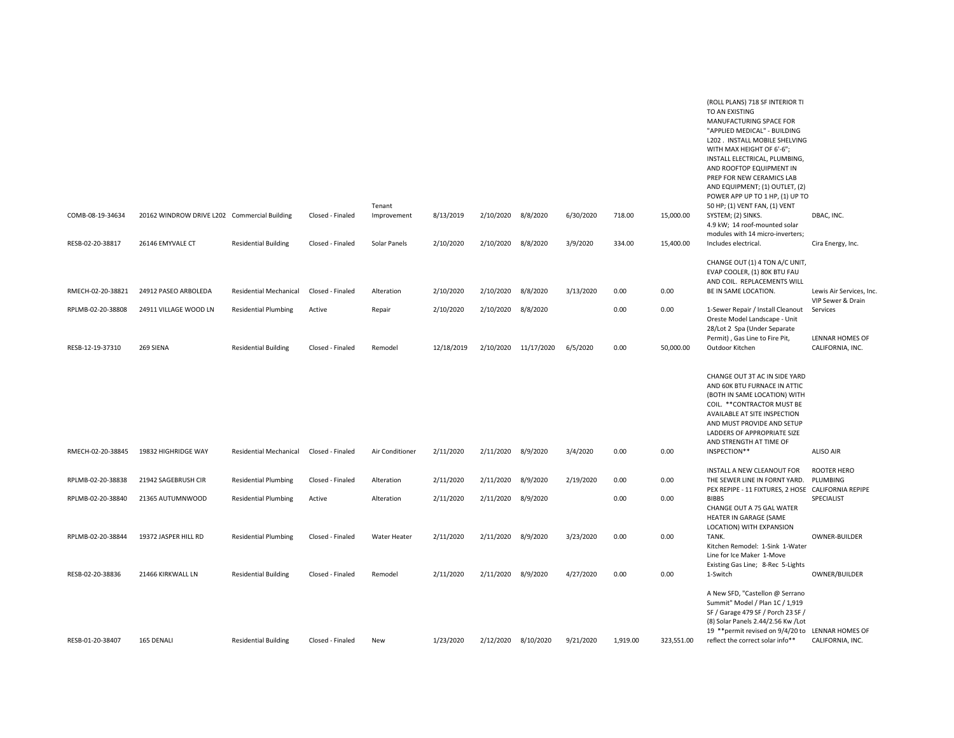|                                        |                                               |                                                              |                            |                       |                        |                                 |                      |           |              |              | (ROLL PLANS) 718 SF INTERIOR TI<br>TO AN EXISTING<br>MANUFACTURING SPACE FOR<br>"APPLIED MEDICAL" - BUILDING<br>L202. INSTALL MOBILE SHELVING<br>WITH MAX HEIGHT OF 6'-6";<br>INSTALL ELECTRICAL, PLUMBING,<br>AND ROOFTOP EQUIPMENT IN<br>PREP FOR NEW CERAMICS LAB<br>AND EQUIPMENT; (1) OUTLET, (2)<br>POWER APP UP TO 1 HP, (1) UP TO |                                                           |
|----------------------------------------|-----------------------------------------------|--------------------------------------------------------------|----------------------------|-----------------------|------------------------|---------------------------------|----------------------|-----------|--------------|--------------|-------------------------------------------------------------------------------------------------------------------------------------------------------------------------------------------------------------------------------------------------------------------------------------------------------------------------------------------|-----------------------------------------------------------|
| COMB-08-19-34634                       | 20162 WINDROW DRIVE L202 Commercial Building  |                                                              | Closed - Finaled           | Tenant<br>Improvement | 8/13/2019              | 2/10/2020 8/8/2020              |                      | 6/30/2020 | 718.00       | 15,000.00    | 50 HP; (1) VENT FAN, (1) VENT<br>SYSTEM; (2) SINKS.<br>4.9 kW; 14 roof-mounted solar<br>modules with 14 micro-inverters;                                                                                                                                                                                                                  | DBAC, INC.                                                |
| RESB-02-20-38817                       | 26146 EMYVALE CT                              | <b>Residential Building</b>                                  | Closed - Finaled           | Solar Panels          | 2/10/2020              | 2/10/2020                       | 8/8/2020             | 3/9/2020  | 334.00       | 15,400.00    | Includes electrical.                                                                                                                                                                                                                                                                                                                      | Cira Energy, Inc.                                         |
| RMECH-02-20-38821<br>RPLMB-02-20-38808 | 24912 PASEO ARBOLEDA<br>24911 VILLAGE WOOD LN | <b>Residential Mechanical</b><br><b>Residential Plumbing</b> | Closed - Finaled<br>Active | Alteration<br>Repair  | 2/10/2020<br>2/10/2020 | 2/10/2020<br>2/10/2020 8/8/2020 | 8/8/2020             | 3/13/2020 | 0.00<br>0.00 | 0.00<br>0.00 | CHANGE OUT (1) 4 TON A/C UNIT,<br>EVAP COOLER, (1) 80K BTU FAU<br>AND COIL. REPLACEMENTS WILL<br>BE IN SAME LOCATION.<br>1-Sewer Repair / Install Cleanout<br>Oreste Model Landscape - Unit                                                                                                                                               | Lewis Air Services, Inc.<br>VIP Sewer & Drain<br>Services |
| RESB-12-19-37310                       | 269 SIENA                                     | <b>Residential Building</b>                                  | Closed - Finaled           | Remodel               | 12/18/2019             |                                 | 2/10/2020 11/17/2020 | 6/5/2020  | 0.00         | 50,000.00    | 28/Lot 2 Spa (Under Separate<br>Permit), Gas Line to Fire Pit,<br>Outdoor Kitchen                                                                                                                                                                                                                                                         | LENNAR HOMES OF<br>CALIFORNIA, INC.                       |
| RMECH-02-20-38845                      | 19832 HIGHRIDGE WAY                           | <b>Residential Mechanical</b>                                | Closed - Finaled           | Air Conditioner       | 2/11/2020              | 2/11/2020                       | 8/9/2020             | 3/4/2020  | 0.00         | 0.00         | CHANGE OUT 3T AC IN SIDE YARD<br>AND 60K BTU FURNACE IN ATTIC<br>(BOTH IN SAME LOCATION) WITH<br>COIL. ** CONTRACTOR MUST BE<br>AVAILABLE AT SITE INSPECTION<br>AND MUST PROVIDE AND SETUP<br>LADDERS OF APPROPRIATE SIZE<br>AND STRENGTH AT TIME OF<br>INSPECTION**                                                                      | <b>ALISO AIR</b>                                          |
|                                        |                                               |                                                              |                            |                       |                        |                                 |                      |           | 0.00         |              | INSTALL A NEW CLEANOUT FOR                                                                                                                                                                                                                                                                                                                | ROOTER HERO                                               |
| RPLMB-02-20-38838                      | 21942 SAGEBRUSH CIR                           | <b>Residential Plumbing</b>                                  | Closed - Finaled           | Alteration            | 2/11/2020              | 2/11/2020                       | 8/9/2020             | 2/19/2020 |              | 0.00         | THE SEWER LINE IN FORNT YARD.<br>PEX REPIPE - 11 FIXTURES, 2 HOSE CALIFORNIA REPIPE                                                                                                                                                                                                                                                       | PLUMBING                                                  |
| RPLMB-02-20-38840                      | 21365 AUTUMNWOOD                              | <b>Residential Plumbing</b>                                  | Active                     | Alteration            | 2/11/2020              | 2/11/2020                       | 8/9/2020             |           | 0.00         | 0.00         | <b>BIBBS</b><br>CHANGE OUT A 75 GAL WATER<br>HEATER IN GARAGE (SAME<br>LOCATION) WITH EXPANSION                                                                                                                                                                                                                                           | SPECIALIST                                                |
| RPLMB-02-20-38844                      | 19372 JASPER HILL RD                          | <b>Residential Plumbing</b>                                  | Closed - Finaled           | Water Heater          | 2/11/2020              | 2/11/2020                       | 8/9/2020             | 3/23/2020 | 0.00         | 0.00         | TANK.<br>Kitchen Remodel: 1-Sink 1-Water<br>Line for Ice Maker 1-Move<br>Existing Gas Line; 8-Rec 5-Lights                                                                                                                                                                                                                                | <b>OWNER-BUILDER</b>                                      |
| RESB-02-20-38836                       | 21466 KIRKWALL LN                             | <b>Residential Building</b>                                  | Closed - Finaled           | Remodel               | 2/11/2020              | 2/11/2020                       | 8/9/2020             | 4/27/2020 | 0.00         | 0.00         | 1-Switch                                                                                                                                                                                                                                                                                                                                  | OWNER/BUILDER                                             |
| RESB-01-20-38407                       | 165 DENALI                                    | <b>Residential Building</b>                                  | Closed - Finaled           | New                   | 1/23/2020              |                                 | 2/12/2020 8/10/2020  | 9/21/2020 | 1,919.00     | 323,551.00   | A New SFD, "Castellon @ Serrano<br>Summit" Model / Plan 1C / 1,919<br>SF / Garage 479 SF / Porch 23 SF /<br>(8) Solar Panels 2.44/2.56 Kw /Lot<br>19 ** permit revised on 9/4/20 to LENNAR HOMES OF<br>reflect the correct solar info**                                                                                                   | CALIFORNIA, INC.                                          |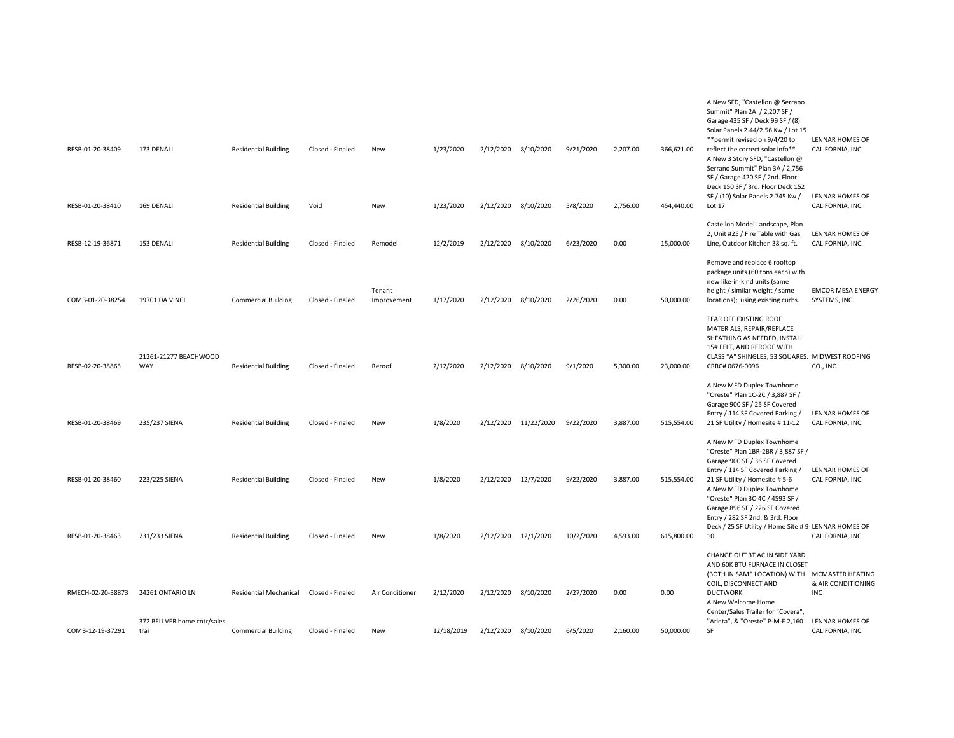| RESB-01-20-38409  | 173 DENALI                          | <b>Residential Building</b> | Closed - Finaled | New                   | 1/23/2020  | 2/12/2020 8/10/2020 |                      | 9/21/2020 | 2,207.00 | 366,621.00 | A New SFD, "Castellon @ Serrano<br>Summit" Plan 2A / 2,207 SF /<br>Garage 435 SF / Deck 99 SF / (8)<br>Solar Panels 2.44/2.56 Kw / Lot 15<br>** permit revised on 9/4/20 to<br>reflect the correct solar info**<br>A New 3 Story SFD, "Castellon @<br>Serrano Summit" Plan 3A / 2,756<br>SF / Garage 420 SF / 2nd. Floor<br>Deck 150 SF / 3rd. Floor Deck 152<br>SF / (10) Solar Panels 2.745 Kw / | LENNAR HOMES OF<br>CALIFORNIA, INC.<br>LENNAR HOMES OF |
|-------------------|-------------------------------------|-----------------------------|------------------|-----------------------|------------|---------------------|----------------------|-----------|----------|------------|----------------------------------------------------------------------------------------------------------------------------------------------------------------------------------------------------------------------------------------------------------------------------------------------------------------------------------------------------------------------------------------------------|--------------------------------------------------------|
| RESB-01-20-38410  | 169 DENALI                          | <b>Residential Building</b> | Void             | New                   | 1/23/2020  | 2/12/2020 8/10/2020 |                      | 5/8/2020  | 2,756.00 | 454,440.00 | Lot 17                                                                                                                                                                                                                                                                                                                                                                                             | CALIFORNIA, INC.                                       |
| RESB-12-19-36871  | 153 DENALI                          | <b>Residential Building</b> | Closed - Finaled | Remodel               | 12/2/2019  | 2/12/2020 8/10/2020 |                      | 6/23/2020 | 0.00     | 15,000.00  | Castellon Model Landscape, Plan<br>2, Unit #25 / Fire Table with Gas<br>Line, Outdoor Kitchen 38 sq. ft.                                                                                                                                                                                                                                                                                           | LENNAR HOMES OF<br>CALIFORNIA, INC.                    |
| COMB-01-20-38254  | 19701 DA VINCI                      | <b>Commercial Building</b>  | Closed - Finaled | Tenant<br>Improvement | 1/17/2020  | 2/12/2020 8/10/2020 |                      | 2/26/2020 | 0.00     | 50,000.00  | Remove and replace 6 rooftop<br>package units (60 tons each) with<br>new like-in-kind units (same<br>height / similar weight / same<br>locations); using existing curbs.                                                                                                                                                                                                                           | <b>EMCOR MESA ENERGY</b><br>SYSTEMS, INC.              |
| RESB-02-20-38865  | 21261-21277 BEACHWOOD<br>WAY        | <b>Residential Building</b> | Closed - Finaled | Reroof                | 2/12/2020  | 2/12/2020 8/10/2020 |                      | 9/1/2020  | 5,300.00 | 23,000.00  | TEAR OFF EXISTING ROOF<br>MATERIALS, REPAIR/REPLACE<br>SHEATHING AS NEEDED, INSTALL<br>15# FELT, AND REROOF WITH<br>CLASS "A" SHINGLES, 53 SQUARES. MIDWEST ROOFING<br>CRRC# 0676-0096                                                                                                                                                                                                             | CO., INC.                                              |
| RESB-01-20-38469  | 235/237 SIENA                       | <b>Residential Building</b> | Closed - Finaled | New                   | 1/8/2020   |                     | 2/12/2020 11/22/2020 | 9/22/2020 | 3,887.00 | 515,554.00 | A New MFD Duplex Townhome<br>"Oreste" Plan 1C-2C / 3,887 SF /<br>Garage 900 SF / 25 SF Covered<br>Entry / 114 SF Covered Parking /<br>21 SF Utility / Homesite # 11-12                                                                                                                                                                                                                             | LENNAR HOMES OF<br>CALIFORNIA, INC.                    |
| RESB-01-20-38460  | 223/225 SIENA                       | <b>Residential Building</b> | Closed - Finaled | New                   | 1/8/2020   | 2/12/2020 12/7/2020 |                      | 9/22/2020 | 3,887.00 | 515,554.00 | A New MFD Duplex Townhome<br>"Oreste" Plan 1BR-2BR / 3,887 SF /<br>Garage 900 SF / 36 SF Covered<br>Entry / 114 SF Covered Parking /<br>21 SF Utility / Homesite # 5-6<br>A New MFD Duplex Townhome<br>"Oreste" Plan 3C-4C / 4593 SF /                                                                                                                                                             | <b>LENNAR HOMES OF</b><br>CALIFORNIA, INC.             |
| RESB-01-20-38463  | 231/233 SIENA                       | <b>Residential Building</b> | Closed - Finaled | New                   | 1/8/2020   | 2/12/2020 12/1/2020 |                      | 10/2/2020 | 4,593.00 | 615,800.00 | Garage 896 SF / 226 SF Covered<br>Entry / 282 SF 2nd. & 3rd. Floor<br>Deck / 25 SF Utility / Home Site # 9- LENNAR HOMES OF<br>10                                                                                                                                                                                                                                                                  | CALIFORNIA, INC.                                       |
| RMECH-02-20-38873 | 24261 ONTARIO LN                    | Residential Mechanical      | Closed - Finaled | Air Conditioner       | 2/12/2020  | 2/12/2020 8/10/2020 |                      | 2/27/2020 | 0.00     | 0.00       | CHANGE OUT 3T AC IN SIDE YARD<br>AND 60K BTU FURNACE IN CLOSET<br>(BOTH IN SAME LOCATION) WITH MCMASTER HEATING<br>COIL, DISCONNECT AND<br>DUCTWORK.<br>A New Welcome Home<br>Center/Sales Trailer for "Covera",                                                                                                                                                                                   | & AIR CONDITIONING<br><b>INC</b>                       |
| COMB-12-19-37291  | 372 BELLVER home cntr/sales<br>trai | <b>Commercial Building</b>  | Closed - Finaled | New                   | 12/18/2019 | 2/12/2020           | 8/10/2020            | 6/5/2020  | 2,160.00 | 50,000.00  | "Arieta", & "Oreste" P-M-E 2,160<br>SF                                                                                                                                                                                                                                                                                                                                                             | LENNAR HOMES OF<br>CALIFORNIA, INC.                    |
|                   |                                     |                             |                  |                       |            |                     |                      |           |          |            |                                                                                                                                                                                                                                                                                                                                                                                                    |                                                        |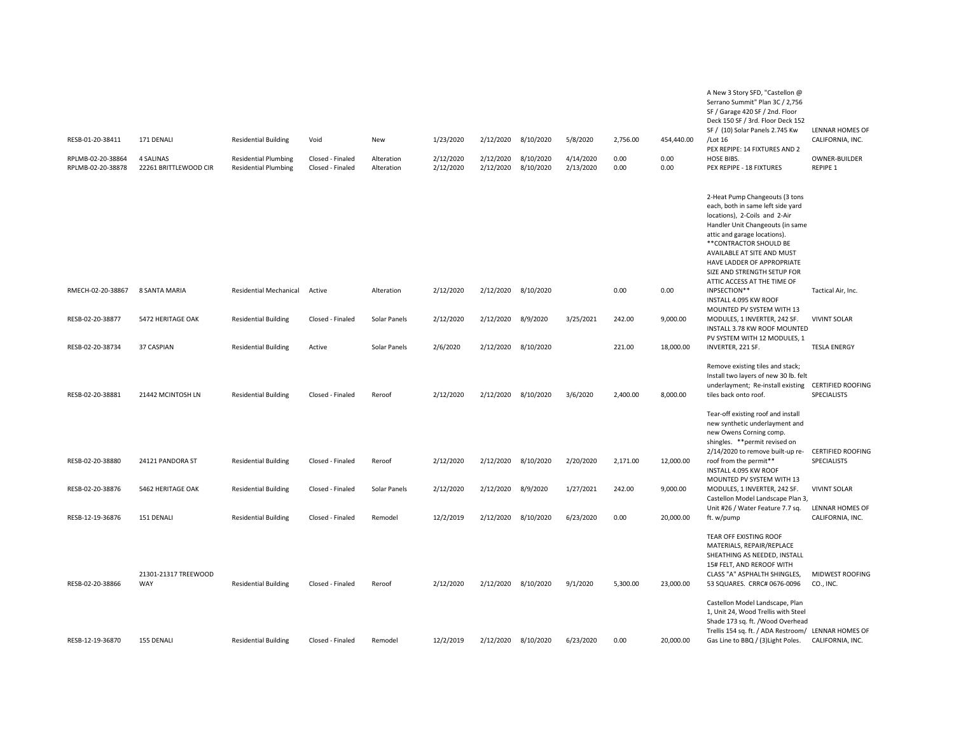| RESB-01-20-38411                       | 171 DENALI                                | <b>Residential Building</b>                                | Void                                 | New                      | 1/23/2020              | 2/12/2020              | 8/10/2020              | 5/8/2020               | 2,756.00     | 454,440.00   | A New 3 Story SFD, "Castellon @<br>Serrano Summit" Plan 3C / 2,756<br>SF / Garage 420 SF / 2nd. Floor<br>Deck 150 SF / 3rd. Floor Deck 152<br>SF / (10) Solar Panels 2.745 Kw<br>/Lot 16                                                                                                                                     | LENNAR HOMES OF<br>CALIFORNIA, INC.     |
|----------------------------------------|-------------------------------------------|------------------------------------------------------------|--------------------------------------|--------------------------|------------------------|------------------------|------------------------|------------------------|--------------|--------------|------------------------------------------------------------------------------------------------------------------------------------------------------------------------------------------------------------------------------------------------------------------------------------------------------------------------------|-----------------------------------------|
|                                        |                                           |                                                            |                                      |                          |                        |                        |                        |                        |              |              | PEX REPIPE: 14 FIXTURES AND 2                                                                                                                                                                                                                                                                                                |                                         |
| RPLMB-02-20-38864<br>RPLMB-02-20-38878 | <b>4 SALINAS</b><br>22261 BRITTLEWOOD CIR | <b>Residential Plumbing</b><br><b>Residential Plumbing</b> | Closed - Finaled<br>Closed - Finaled | Alteration<br>Alteration | 2/12/2020<br>2/12/2020 | 2/12/2020<br>2/12/2020 | 8/10/2020<br>8/10/2020 | 4/14/2020<br>2/13/2020 | 0.00<br>0.00 | 0.00<br>0.00 | HOSE BIBS.<br>PEX REPIPE - 18 FIXTURES                                                                                                                                                                                                                                                                                       | OWNER-BUILDER<br>REPIPE 1               |
|                                        |                                           |                                                            |                                      |                          |                        |                        |                        |                        |              |              | 2-Heat Pump Changeouts (3 tons<br>each, both in same left side yard<br>locations), 2-Coils and 2-Air<br>Handler Unit Changeouts (in same<br>attic and garage locations).<br>**CONTRACTOR SHOULD BE<br>AVAILABLE AT SITE AND MUST<br>HAVE LADDER OF APPROPRIATE<br>SIZE AND STRENGTH SETUP FOR<br>ATTIC ACCESS AT THE TIME OF |                                         |
| RMECH-02-20-38867                      | 8 SANTA MARIA                             | Residential Mechanical                                     | Active                               | Alteration               | 2/12/2020              | 2/12/2020              | 8/10/2020              |                        | 0.00         | 0.00         | INPSECTION**<br>INSTALL 4.095 KW ROOF<br>MOUNTED PV SYSTEM WITH 13                                                                                                                                                                                                                                                           | Tactical Air, Inc.                      |
| RESB-02-20-38877                       | 5472 HERITAGE OAK                         | <b>Residential Building</b>                                | Closed - Finaled                     | Solar Panels             | 2/12/2020              | 2/12/2020              | 8/9/2020               | 3/25/2021              | 242.00       | 9,000.00     | MODULES, 1 INVERTER, 242 SF.<br>INSTALL 3.78 KW ROOF MOUNTED<br>PV SYSTEM WITH 12 MODULES, 1                                                                                                                                                                                                                                 | <b>VIVINT SOLAR</b>                     |
| RESB-02-20-38734                       | 37 CASPIAN                                | <b>Residential Building</b>                                | Active                               | Solar Panels             | 2/6/2020               | 2/12/2020              | 8/10/2020              |                        | 221.00       | 18,000.00    | INVERTER, 221 SF.                                                                                                                                                                                                                                                                                                            | <b>TESLA ENERGY</b>                     |
| RESB-02-20-38881                       | 21442 MCINTOSH LN                         | <b>Residential Building</b>                                | Closed - Finaled                     | Reroof                   | 2/12/2020              | 2/12/2020              | 8/10/2020              | 3/6/2020               | 2,400.00     | 8,000.00     | Remove existing tiles and stack;<br>Install two layers of new 30 lb. felt<br>underlayment; Re-install existing<br>tiles back onto roof.<br>Tear-off existing roof and install                                                                                                                                                | <b>CERTIFIED ROOFING</b><br>SPECIALISTS |
| RESB-02-20-38880                       | 24121 PANDORA ST                          | <b>Residential Building</b>                                | Closed - Finaled                     | Reroof                   | 2/12/2020              | 2/12/2020 8/10/2020    |                        | 2/20/2020              | 2,171.00     | 12,000.00    | new synthetic underlayment and<br>new Owens Corning comp.<br>shingles. ** permit revised on<br>2/14/2020 to remove built-up re-<br>roof from the permit**<br>INSTALL 4.095 KW ROOF                                                                                                                                           | <b>CERTIFIED ROOFING</b><br>SPECIALISTS |
| RESB-02-20-38876                       | 5462 HERITAGE OAK                         | <b>Residential Building</b>                                | Closed - Finaled                     | Solar Panels             | 2/12/2020              | 2/12/2020              | 8/9/2020               | 1/27/2021              | 242.00       | 9,000.00     | MOUNTED PV SYSTEM WITH 13<br>MODULES, 1 INVERTER, 242 SF.<br>Castellon Model Landscape Plan 3,                                                                                                                                                                                                                               | <b>VIVINT SOLAR</b>                     |
| RESB-12-19-36876                       | 151 DENALI                                | <b>Residential Building</b>                                | Closed - Finaled                     | Remodel                  | 12/2/2019              | 2/12/2020              | 8/10/2020              | 6/23/2020              | 0.00         | 20,000.00    | Unit #26 / Water Feature 7.7 sq.<br>ft. w/pump                                                                                                                                                                                                                                                                               | LENNAR HOMES OF<br>CALIFORNIA, INC.     |
| RESB-02-20-38866                       | 21301-21317 TREEWOOD<br>WAY               | <b>Residential Building</b>                                | Closed - Finaled                     | Reroof                   | 2/12/2020              | 2/12/2020              | 8/10/2020              | 9/1/2020               | 5,300.00     | 23,000.00    | TEAR OFF EXISTING ROOF<br>MATERIALS, REPAIR/REPLACE<br>SHEATHING AS NEEDED, INSTALL<br>15# FELT, AND REROOF WITH<br>CLASS "A" ASPHALTH SHINGLES,<br>53 SQUARES. CRRC# 0676-0096                                                                                                                                              | MIDWEST ROOFING<br>CO., INC.            |
| RESB-12-19-36870                       | 155 DENALI                                | <b>Residential Building</b>                                | Closed - Finaled                     | Remodel                  | 12/2/2019              | 2/12/2020 8/10/2020    |                        | 6/23/2020              | 0.00         | 20,000.00    | Castellon Model Landscape, Plan<br>1, Unit 24, Wood Trellis with Steel<br>Shade 173 sq. ft. /Wood Overhead<br>Trellis 154 sq. ft. / ADA Restroom/ LENNAR HOMES OF<br>Gas Line to BBQ / (3) Light Poles.                                                                                                                      | CALIFORNIA, INC.                        |
|                                        |                                           |                                                            |                                      |                          |                        |                        |                        |                        |              |              |                                                                                                                                                                                                                                                                                                                              |                                         |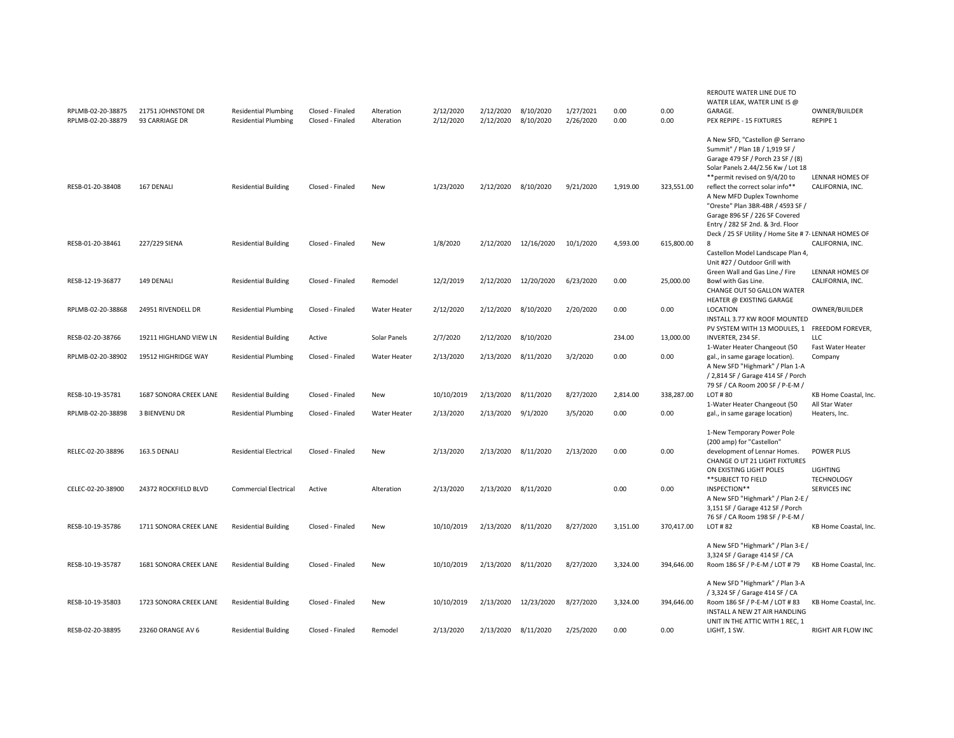| RPLMB-02-20-38875<br>RPLMB-02-20-38879 | 21751 JOHNSTONE DR<br>93 CARRIAGE DR | <b>Residential Plumbing</b><br><b>Residential Plumbing</b> | Closed - Finaled<br>Closed - Finaled | Alteration<br>Alteration | 2/12/2020<br>2/12/2020 | 2/12/2020<br>2/12/2020 | 8/10/2020<br>8/10/2020 | 1/27/2021<br>2/26/2020 | 0.00<br>0.00 | 0.00<br>0.00 | REROUTE WATER LINE DUE TO<br>WATER LEAK, WATER LINE IS @<br>GARAGE.<br>PEX REPIPE - 15 FIXTURES                                                                                                                                                 | OWNER/BUILDER<br>REPIPE 1                |
|----------------------------------------|--------------------------------------|------------------------------------------------------------|--------------------------------------|--------------------------|------------------------|------------------------|------------------------|------------------------|--------------|--------------|-------------------------------------------------------------------------------------------------------------------------------------------------------------------------------------------------------------------------------------------------|------------------------------------------|
| RESB-01-20-38408                       | 167 DENALI                           | <b>Residential Building</b>                                | Closed - Finaled                     | New                      | 1/23/2020              | 2/12/2020              | 8/10/2020              | 9/21/2020              | 1,919.00     | 323,551.00   | A New SFD, "Castellon @ Serrano<br>Summit" / Plan 1B / 1,919 SF /<br>Garage 479 SF / Porch 23 SF / (8)<br>Solar Panels 2.44/2.56 Kw / Lot 18<br>** permit revised on 9/4/20 to<br>reflect the correct solar info**<br>A New MFD Duplex Townhome | LENNAR HOMES OF<br>CALIFORNIA, INC.      |
|                                        |                                      |                                                            |                                      |                          |                        |                        |                        |                        |              |              | "Oreste" Plan 3BR-4BR / 4593 SF /<br>Garage 896 SF / 226 SF Covered<br>Entry / 282 SF 2nd. & 3rd. Floor<br>Deck / 25 SF Utility / Home Site # 7- LENNAR HOMES OF                                                                                |                                          |
| RESB-01-20-38461                       | 227/229 SIENA                        | <b>Residential Building</b>                                | Closed - Finaled                     | New                      | 1/8/2020               | 2/12/2020              | 12/16/2020             | 10/1/2020              | 4,593.00     | 615,800.00   | -8<br>Castellon Model Landscape Plan 4,<br>Unit #27 / Outdoor Grill with                                                                                                                                                                        | CALIFORNIA, INC.<br>LENNAR HOMES OF      |
| RESB-12-19-36877                       | 149 DENALI                           | <b>Residential Building</b>                                | Closed - Finaled                     | Remodel                  | 12/2/2019              | 2/12/2020              | 12/20/2020             | 6/23/2020              | 0.00         | 25,000.00    | Green Wall and Gas Line./ Fire<br>Bowl with Gas Line.<br>CHANGE OUT 50 GALLON WATER<br>HEATER @ EXISTING GARAGE                                                                                                                                 | CALIFORNIA, INC.                         |
| RPLMB-02-20-38868                      | 24951 RIVENDELL DR                   | <b>Residential Plumbing</b>                                | Closed - Finaled                     | <b>Water Heater</b>      | 2/12/2020              | 2/12/2020              | 8/10/2020              | 2/20/2020              | 0.00         | 0.00         | LOCATION<br>INSTALL 3.77 KW ROOF MOUNTED<br>PV SYSTEM WITH 13 MODULES, 1 FREEDOM FOREVER,                                                                                                                                                       | OWNER/BUILDER                            |
| RESB-02-20-38766                       | 19211 HIGHLAND VIEW LN               | <b>Residential Building</b>                                | Active                               | Solar Panels             | 2/7/2020               | 2/12/2020              | 8/10/2020              |                        | 234.00       | 13,000.00    | INVERTER, 234 SF.                                                                                                                                                                                                                               | <b>LLC</b>                               |
| RPLMB-02-20-38902                      | 19512 HIGHRIDGE WAY                  | <b>Residential Plumbing</b>                                | Closed - Finaled                     | Water Heater             | 2/13/2020              | 2/13/2020              | 8/11/2020              | 3/2/2020               | 0.00         | 0.00         | 1-Water Heater Changeout (50<br>gal., in same garage location).<br>A New SFD "Highmark" / Plan 1-A<br>/ 2,814 SF / Garage 414 SF / Porch                                                                                                        | Fast Water Heater<br>Company             |
| RESB-10-19-35781                       | 1687 SONORA CREEK LANE               | <b>Residential Building</b>                                | Closed - Finaled                     | New                      | 10/10/2019             | 2/13/2020              | 8/11/2020              | 8/27/2020              | 2,814.00     | 338,287.00   | 79 SF / CA Room 200 SF / P-E-M /<br>LOT#80<br>1-Water Heater Changeout (50                                                                                                                                                                      | KB Home Coastal, Inc.<br>All Star Water  |
| RPLMB-02-20-38898                      | 3 BIENVENU DR                        | <b>Residential Plumbing</b>                                | Closed - Finaled                     | Water Heater             | 2/13/2020              | 2/13/2020              | 9/1/2020               | 3/5/2020               | 0.00         | 0.00         | gal., in same garage location)                                                                                                                                                                                                                  | Heaters, Inc.                            |
| RELEC-02-20-38896                      | 163.5 DENALI                         | <b>Residential Electrical</b>                              | Closed - Finaled                     | New                      | 2/13/2020              | 2/13/2020              | 8/11/2020              | 2/13/2020              | 0.00         | 0.00         | 1-New Temporary Power Pole<br>(200 amp) for "Castellon"<br>development of Lennar Homes.                                                                                                                                                         | <b>POWER PLUS</b>                        |
|                                        |                                      |                                                            |                                      |                          |                        |                        |                        |                        |              |              | CHANGE O UT 21 LIGHT FIXTURES<br>ON EXISTING LIGHT POLES                                                                                                                                                                                        | <b>LIGHTING</b>                          |
| CELEC-02-20-38900                      | 24372 ROCKFIELD BLVD                 | <b>Commercial Electrical</b>                               | Active                               | Alteration               | 2/13/2020              | 2/13/2020              | 8/11/2020              |                        | 0.00         | 0.00         | ** SUBJECT TO FIELD<br>INSPECTION**<br>A New SFD "Highmark" / Plan 2-E /<br>3,151 SF / Garage 412 SF / Porch                                                                                                                                    | <b>TECHNOLOGY</b><br><b>SERVICES INC</b> |
| RESB-10-19-35786                       | 1711 SONORA CREEK LANE               | <b>Residential Building</b>                                | Closed - Finaled                     | <b>New</b>               | 10/10/2019             | 2/13/2020              | 8/11/2020              | 8/27/2020              | 3,151.00     | 370,417.00   | 76 SF / CA Room 198 SF / P-E-M /<br>LOT #82                                                                                                                                                                                                     | KB Home Coastal, Inc.                    |
| RESB-10-19-35787                       | 1681 SONORA CREEK LANE               | <b>Residential Building</b>                                | Closed - Finaled                     | New                      | 10/10/2019             | 2/13/2020              | 8/11/2020              | 8/27/2020              | 3,324.00     | 394,646.00   | A New SFD "Highmark" / Plan 3-E /<br>3,324 SF / Garage 414 SF / CA<br>Room 186 SF / P-E-M / LOT # 79                                                                                                                                            | KB Home Coastal, Inc.                    |
| RESB-10-19-35803                       | 1723 SONORA CREEK LANE               | <b>Residential Building</b>                                | Closed - Finaled                     | New                      | 10/10/2019             | 2/13/2020              | 12/23/2020             | 8/27/2020              | 3,324.00     | 394,646.00   | A New SFD "Highmark" / Plan 3-A<br>/ 3,324 SF / Garage 414 SF / CA<br>Room 186 SF / P-E-M / LOT #83                                                                                                                                             | KB Home Coastal, Inc.                    |
| RESB-02-20-38895                       | 23260 ORANGE AV 6                    | <b>Residential Building</b>                                | Closed - Finaled                     | Remodel                  | 2/13/2020              | 2/13/2020              | 8/11/2020              | 2/25/2020              | 0.00         | 0.00         | INSTALL A NEW 2T AIR HANDLING<br>UNIT IN THE ATTIC WITH 1 REC. 1<br>LIGHT, 1 SW.                                                                                                                                                                | <b>RIGHT AIR FLOW INC</b>                |
|                                        |                                      |                                                            |                                      |                          |                        |                        |                        |                        |              |              |                                                                                                                                                                                                                                                 |                                          |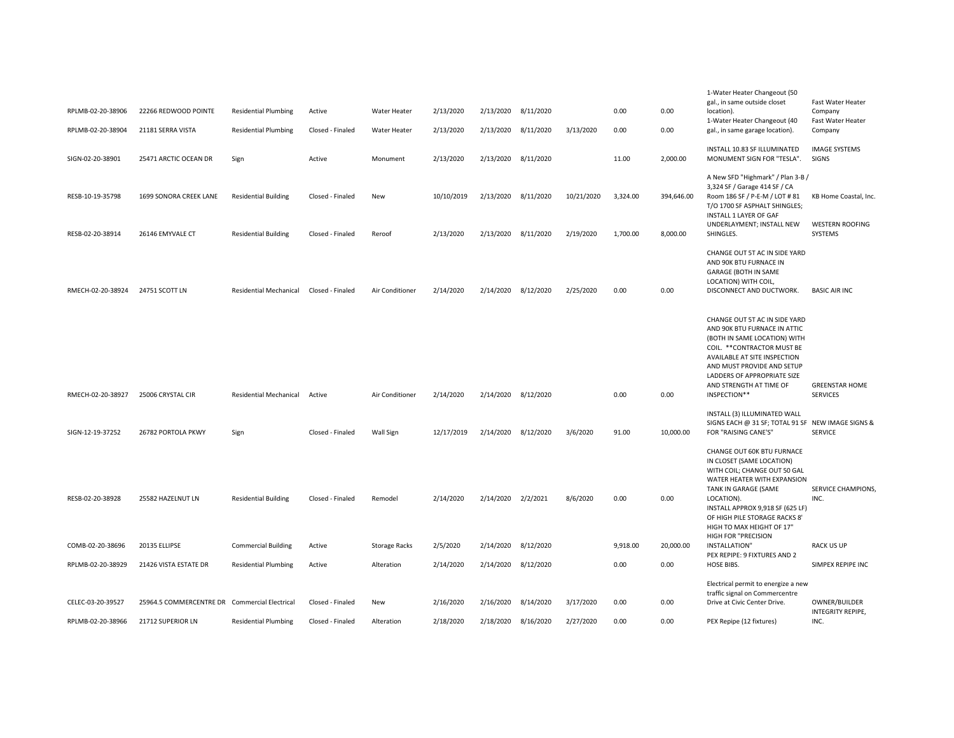| RPLMB-02-20-38906                    | 22266 REDWOOD POINTE                          | <b>Residential Plumbing</b>                                | Active                               | Water Heater         | 2/13/2020               | 2/13/2020              | 8/11/2020              |                         | 0.00                 | 0.00                   | 1-Water Heater Changeout (50<br>gal., in same outside closet<br>location).<br>1-Water Heater Changeout (40                                                                                                                                                           | Fast Water Heater<br>Company<br>Fast Water Heater          |
|--------------------------------------|-----------------------------------------------|------------------------------------------------------------|--------------------------------------|----------------------|-------------------------|------------------------|------------------------|-------------------------|----------------------|------------------------|----------------------------------------------------------------------------------------------------------------------------------------------------------------------------------------------------------------------------------------------------------------------|------------------------------------------------------------|
| RPLMB-02-20-38904                    | 21181 SERRA VISTA                             | <b>Residential Plumbing</b>                                | Closed - Finaled                     | Water Heater         | 2/13/2020               | 2/13/2020              | 8/11/2020              | 3/13/2020               | 0.00                 | 0.00                   | gal., in same garage location).                                                                                                                                                                                                                                      | Company                                                    |
| SIGN-02-20-38901                     | 25471 ARCTIC OCEAN DR                         | Sign                                                       | Active                               | Monument             | 2/13/2020               | 2/13/2020              | 8/11/2020              |                         | 11.00                | 2,000.00               | INSTALL 10.83 SF ILLUMINATED<br>MONUMENT SIGN FOR "TESLA".                                                                                                                                                                                                           | <b>IMAGE SYSTEMS</b><br>SIGNS                              |
| RESB-10-19-35798<br>RESB-02-20-38914 | 1699 SONORA CREEK LANE<br>26146 EMYVALE CT    | <b>Residential Building</b><br><b>Residential Building</b> | Closed - Finaled<br>Closed - Finaled | New<br>Reroof        | 10/10/2019<br>2/13/2020 | 2/13/2020<br>2/13/2020 | 8/11/2020<br>8/11/2020 | 10/21/2020<br>2/19/2020 | 3,324.00<br>1,700.00 | 394,646.00<br>8,000.00 | A New SFD "Highmark" / Plan 3-B /<br>3,324 SF / Garage 414 SF / CA<br>Room 186 SF / P-E-M / LOT # 81<br>T/O 1700 SF ASPHALT SHINGLES;<br>INSTALL 1 LAYER OF GAF<br>UNDERLAYMENT; INSTALL NEW<br>SHINGLES.                                                            | KB Home Coastal, Inc.<br><b>WESTERN ROOFING</b><br>SYSTEMS |
|                                      |                                               |                                                            |                                      |                      |                         |                        |                        |                         |                      |                        |                                                                                                                                                                                                                                                                      |                                                            |
| RMECH-02-20-38924                    | 24751 SCOTT LN                                | <b>Residential Mechanical</b>                              | Closed - Finaled                     | Air Conditioner      | 2/14/2020               | 2/14/2020              | 8/12/2020              | 2/25/2020               | 0.00                 | 0.00                   | CHANGE OUT 5T AC IN SIDE YARD<br>AND 90K BTU FURNACE IN<br>GARAGE (BOTH IN SAME<br>LOCATION) WITH COIL,<br>DISCONNECT AND DUCTWORK.                                                                                                                                  | <b>BASIC AIR INC</b>                                       |
| RMECH-02-20-38927                    | 25006 CRYSTAL CIR                             | <b>Residential Mechanical</b>                              | Active                               | Air Conditioner      | 2/14/2020               | 2/14/2020 8/12/2020    |                        |                         | 0.00                 | 0.00                   | CHANGE OUT 5T AC IN SIDE YARD<br>AND 90K BTU FURNACE IN ATTIC<br>(BOTH IN SAME LOCATION) WITH<br>COIL. ** CONTRACTOR MUST BE<br>AVAILABLE AT SITE INSPECTION<br>AND MUST PROVIDE AND SETUP<br>LADDERS OF APPROPRIATE SIZE<br>AND STRENGTH AT TIME OF<br>INSPECTION** | <b>GREENSTAR HOME</b><br><b>SERVICES</b>                   |
| SIGN-12-19-37252                     | 26782 PORTOLA PKWY                            | Sign                                                       | Closed - Finaled                     | Wall Sign            | 12/17/2019              | 2/14/2020              | 8/12/2020              | 3/6/2020                | 91.00                | 10,000.00              | INSTALL (3) ILLUMINATED WALL<br>SIGNS EACH @ 31 SF; TOTAL 91 SF NEW IMAGE SIGNS &<br>FOR "RAISING CANE'S"                                                                                                                                                            | <b>SERVICE</b>                                             |
| RESB-02-20-38928                     | 25582 HAZELNUT LN                             | <b>Residential Building</b>                                | Closed - Finaled                     | Remodel              | 2/14/2020               | 2/14/2020 2/2/2021     |                        | 8/6/2020                | 0.00                 | 0.00                   | CHANGE OUT 60K BTU FURNACE<br>IN CLOSET (SAME LOCATION)<br>WITH COIL; CHANGE OUT 50 GAL<br>WATER HEATER WITH EXPANSION<br>TANK IN GARAGE (SAME<br>LOCATION).<br>INSTALL APPROX 9,918 SF (625 LF)<br>OF HIGH PILE STORAGE RACKS 8'<br>HIGH TO MAX HEIGHT OF 17"       | <b>SERVICE CHAMPIONS,</b><br>INC.                          |
| COMB-02-20-38696                     | 20135 ELLIPSE                                 | <b>Commercial Building</b>                                 | Active                               | <b>Storage Racks</b> | 2/5/2020                | 2/14/2020 8/12/2020    |                        |                         | 9,918.00             | 20,000.00              | HIGH FOR "PRECISION<br>INSTALLATION"                                                                                                                                                                                                                                 | <b>RACK US UP</b>                                          |
|                                      |                                               |                                                            |                                      |                      |                         |                        |                        |                         |                      |                        | PEX REPIPE: 9 FIXTURES AND 2                                                                                                                                                                                                                                         |                                                            |
| RPLMB-02-20-38929                    | 21426 VISTA ESTATE DR                         | <b>Residential Plumbing</b>                                | Active                               | Alteration           | 2/14/2020               | 2/14/2020 8/12/2020    |                        |                         | 0.00                 | 0.00                   | HOSE BIBS.                                                                                                                                                                                                                                                           | SIMPEX REPIPE INC                                          |
|                                      |                                               |                                                            |                                      |                      |                         |                        |                        |                         |                      |                        | Electrical permit to energize a new<br>traffic signal on Commercentre                                                                                                                                                                                                |                                                            |
| CELEC-03-20-39527                    | 25964.5 COMMERCENTRE DR Commercial Electrical |                                                            | Closed - Finaled                     | New                  | 2/16/2020               | 2/16/2020              | 8/14/2020              | 3/17/2020               | 0.00                 | 0.00                   | Drive at Civic Center Drive.                                                                                                                                                                                                                                         | OWNER/BUILDER<br>INTEGRITY REPIPE,                         |
| RPLMB-02-20-38966                    | 21712 SUPERIOR LN                             | <b>Residential Plumbing</b>                                | Closed - Finaled                     | Alteration           | 2/18/2020               | 2/18/2020              | 8/16/2020              | 2/27/2020               | 0.00                 | 0.00                   | PEX Repipe (12 fixtures)                                                                                                                                                                                                                                             | INC.                                                       |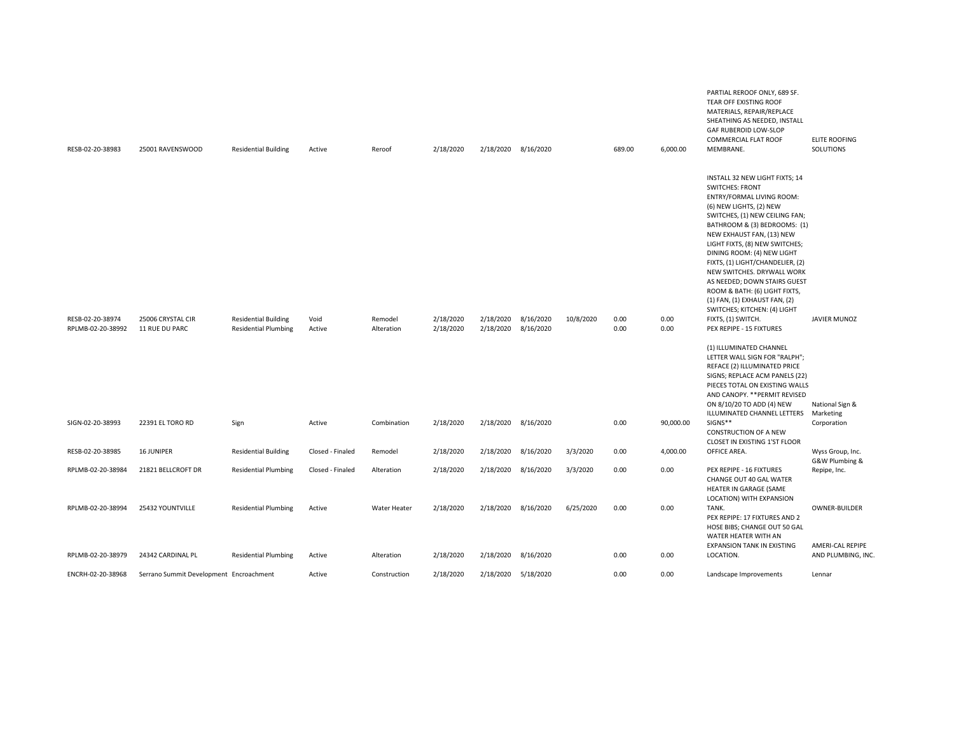| RESB-02-20-38983  | 25001 RAVENSWOOD                        | <b>Residential Building</b> | Active           | Reroof       | 2/18/2020 | 2/18/2020 8/16/2020 |           |           | 689.00 | 6.000.00  | PARTIAL REROOF ONLY, 689 SF.<br>TEAR OFF EXISTING ROOF<br>MATERIALS, REPAIR/REPLACE<br>SHEATHING AS NEEDED, INSTALL<br>GAF RUBEROID LOW-SLOP<br>COMMERCIAL FLAT ROOF<br>MEMBRANE.                                                                                                                                                                                                                                                                                                                         | <b>ELITE ROOFING</b><br>SOLUTIONS  |
|-------------------|-----------------------------------------|-----------------------------|------------------|--------------|-----------|---------------------|-----------|-----------|--------|-----------|-----------------------------------------------------------------------------------------------------------------------------------------------------------------------------------------------------------------------------------------------------------------------------------------------------------------------------------------------------------------------------------------------------------------------------------------------------------------------------------------------------------|------------------------------------|
| RESB-02-20-38974  | 25006 CRYSTAL CIR                       | <b>Residential Building</b> | Void             | Remodel      | 2/18/2020 | 2/18/2020           | 8/16/2020 | 10/8/2020 | 0.00   | 0.00      | INSTALL 32 NEW LIGHT FIXTS; 14<br><b>SWITCHES: FRONT</b><br>ENTRY/FORMAL LIVING ROOM:<br>(6) NEW LIGHTS, (2) NEW<br>SWITCHES, (1) NEW CEILING FAN;<br>BATHROOM & (3) BEDROOMS: (1)<br>NEW EXHAUST FAN, (13) NEW<br>LIGHT FIXTS, (8) NEW SWITCHES;<br>DINING ROOM: (4) NEW LIGHT<br>FIXTS, (1) LIGHT/CHANDELIER, (2)<br>NEW SWITCHES. DRYWALL WORK<br>AS NEEDED; DOWN STAIRS GUEST<br>ROOM & BATH: (6) LIGHT FIXTS,<br>(1) FAN, (1) EXHAUST FAN, (2)<br>SWITCHES; KITCHEN: (4) LIGHT<br>FIXTS, (1) SWITCH. | JAVIER MUNOZ                       |
| RPLMB-02-20-38992 | 11 RUE DU PARC                          | <b>Residential Plumbing</b> | Active           | Alteration   | 2/18/2020 | 2/18/2020           | 8/16/2020 |           | 0.00   | 0.00      | PEX REPIPE - 15 FIXTURES<br>(1) ILLUMINATED CHANNEL<br>LETTER WALL SIGN FOR "RALPH";<br>REFACE (2) ILLUMINATED PRICE<br>SIGNS; REPLACE ACM PANELS (22)<br>PIECES TOTAL ON EXISTING WALLS<br>AND CANOPY. ** PERMIT REVISED<br>ON 8/10/20 TO ADD (4) NEW<br>ILLUMINATED CHANNEL LETTERS                                                                                                                                                                                                                     | National Sign &<br>Marketing       |
| SIGN-02-20-38993  | 22391 EL TORO RD                        | Sign                        | Active           | Combination  | 2/18/2020 | 2/18/2020 8/16/2020 |           |           | 0.00   | 90,000.00 | SIGNS**<br><b>CONSTRUCTION OF A NEW</b><br>CLOSET IN EXISTING 1'ST FLOOR                                                                                                                                                                                                                                                                                                                                                                                                                                  | Corporation                        |
| RESB-02-20-38985  | 16 JUNIPER                              | <b>Residential Building</b> | Closed - Finaled | Remodel      | 2/18/2020 | 2/18/2020           | 8/16/2020 | 3/3/2020  | 0.00   | 4,000.00  | OFFICE AREA.                                                                                                                                                                                                                                                                                                                                                                                                                                                                                              | Wyss Group, Inc.<br>G&W Plumbing & |
| RPLMB-02-20-38984 | 21821 BELLCROFT DR                      | <b>Residential Plumbing</b> | Closed - Finaled | Alteration   | 2/18/2020 | 2/18/2020           | 8/16/2020 | 3/3/2020  | 0.00   | 0.00      | PEX REPIPE - 16 FIXTURES<br>CHANGE OUT 40 GAL WATER<br>HEATER IN GARAGE (SAME<br>LOCATION) WITH EXPANSION                                                                                                                                                                                                                                                                                                                                                                                                 | Repipe, Inc.                       |
| RPLMB-02-20-38994 | 25432 YOUNTVILLE                        | <b>Residential Plumbing</b> | Active           | Water Heater | 2/18/2020 | 2/18/2020           | 8/16/2020 | 6/25/2020 | 0.00   | 0.00      | TANK.<br>PEX REPIPE: 17 FIXTURES AND 2<br>HOSE BIBS; CHANGE OUT 50 GAL<br>WATER HEATER WITH AN<br><b>EXPANSION TANK IN EXISTING</b>                                                                                                                                                                                                                                                                                                                                                                       | OWNER-BUILDER<br>AMERI-CAL REPIPE  |
| RPLMB-02-20-38979 | 24342 CARDINAL PL                       | <b>Residential Plumbing</b> | Active           | Alteration   | 2/18/2020 | 2/18/2020           | 8/16/2020 |           | 0.00   | 0.00      | LOCATION.                                                                                                                                                                                                                                                                                                                                                                                                                                                                                                 | AND PLUMBING, INC.                 |
| ENCRH-02-20-38968 | Serrano Summit Development Encroachment |                             | Active           | Construction | 2/18/2020 | 2/18/2020           | 5/18/2020 |           | 0.00   | 0.00      | Landscape Improvements                                                                                                                                                                                                                                                                                                                                                                                                                                                                                    | Lennar                             |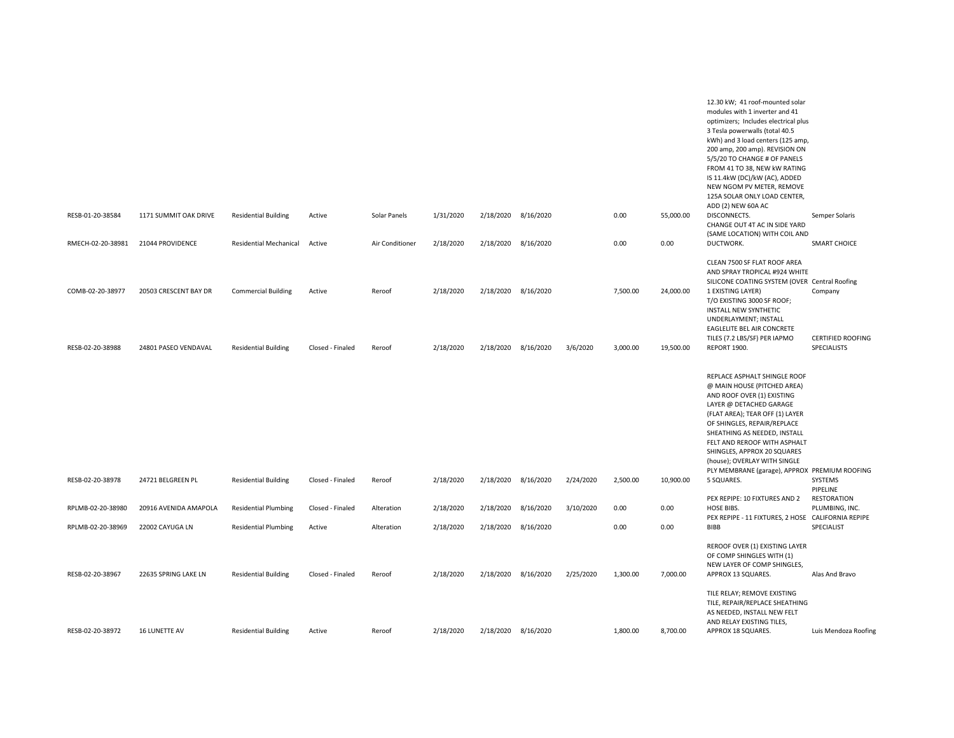|                                      |                                               |                                                           |                            |                  |                        |           |                                  |           |                      |                        | 12.30 kW; 41 roof-mounted solar<br>modules with 1 inverter and 41<br>optimizers; Includes electrical plus<br>3 Tesla powerwalls (total 40.5<br>kWh) and 3 load centers (125 amp,<br>200 amp, 200 amp). REVISION ON<br>5/5/20 TO CHANGE # OF PANELS<br>FROM 41 TO 38, NEW kW RATING<br>IS 11.4kW (DC)/kW (AC), ADDED<br>NEW NGOM PV METER, REMOVE<br>125A SOLAR ONLY LOAD CENTER,<br>ADD (2) NEW 60A AC |                                                    |
|--------------------------------------|-----------------------------------------------|-----------------------------------------------------------|----------------------------|------------------|------------------------|-----------|----------------------------------|-----------|----------------------|------------------------|--------------------------------------------------------------------------------------------------------------------------------------------------------------------------------------------------------------------------------------------------------------------------------------------------------------------------------------------------------------------------------------------------------|----------------------------------------------------|
| RESB-01-20-38584                     | 1171 SUMMIT OAK DRIVE                         | <b>Residential Building</b>                               | Active                     | Solar Panels     | 1/31/2020              |           | 2/18/2020 8/16/2020              |           | 0.00                 | 55,000.00              | DISCONNECTS.<br>CHANGE OUT 4T AC IN SIDE YARD<br>(SAME LOCATION) WITH COIL AND                                                                                                                                                                                                                                                                                                                         | Semper Solaris                                     |
| RMECH-02-20-38981                    | 21044 PROVIDENCE                              | <b>Residential Mechanical</b>                             | Active                     | Air Conditioner  | 2/18/2020              |           | 2/18/2020 8/16/2020              |           | 0.00                 | 0.00                   | DUCTWORK.                                                                                                                                                                                                                                                                                                                                                                                              | <b>SMART CHOICE</b>                                |
| COMB-02-20-38977<br>RESB-02-20-38988 | 20503 CRESCENT BAY DR<br>24801 PASEO VENDAVAL | <b>Commercial Building</b><br><b>Residential Building</b> | Active<br>Closed - Finaled | Reroof<br>Reroof | 2/18/2020<br>2/18/2020 | 2/18/2020 | 2/18/2020 8/16/2020<br>8/16/2020 | 3/6/2020  | 7,500.00<br>3,000.00 | 24,000.00<br>19,500.00 | CLEAN 7500 SF FLAT ROOF AREA<br>AND SPRAY TROPICAL #924 WHITE<br>SILICONE COATING SYSTEM (OVER Central Roofing<br>1 EXISTING LAYER)<br>T/O EXISTING 3000 SF ROOF;<br><b>INSTALL NEW SYNTHETIC</b><br>UNDERLAYMENT; INSTALL<br>EAGLELITE BEL AIR CONCRETE<br>TILES (7.2 LBS/SF) PER IAPMO<br>REPORT 1900.                                                                                               | Company<br><b>CERTIFIED ROOFING</b><br>SPECIALISTS |
| RESB-02-20-38978                     | 24721 BELGREEN PL                             | <b>Residential Building</b>                               | Closed - Finaled           | Reroof           | 2/18/2020              |           | 2/18/2020 8/16/2020              | 2/24/2020 | 2,500.00             | 10,900.00              | REPLACE ASPHALT SHINGLE ROOF<br>@ MAIN HOUSE (PITCHED AREA)<br>AND ROOF OVER (1) EXISTING<br>LAYER @ DETACHED GARAGE<br>(FLAT AREA); TEAR OFF (1) LAYER<br>OF SHINGLES, REPAIR/REPLACE<br>SHEATHING AS NEEDED, INSTALL<br>FELT AND REROOF WITH ASPHALT<br>SHINGLES, APPROX 20 SQUARES<br>(house); OVERLAY WITH SINGLE<br>PLY MEMBRANE (garage), APPROX PREMIUM ROOFING<br>5 SQUARES.                   | SYSTEMS                                            |
|                                      |                                               |                                                           |                            |                  |                        |           |                                  |           |                      |                        | PEX REPIPE: 10 FIXTURES AND 2                                                                                                                                                                                                                                                                                                                                                                          | PIPELINE<br><b>RESTORATION</b>                     |
| RPLMB-02-20-38980                    | 20916 AVENIDA AMAPOLA                         | <b>Residential Plumbing</b>                               | Closed - Finaled           | Alteration       | 2/18/2020              | 2/18/2020 | 8/16/2020                        | 3/10/2020 | 0.00                 | 0.00                   | HOSE BIBS.<br>PEX REPIPE - 11 FIXTURES, 2 HOSE CALIFORNIA REPIPE                                                                                                                                                                                                                                                                                                                                       | PLUMBING, INC.                                     |
| RPLMB-02-20-38969                    | 22002 CAYUGA LN                               | <b>Residential Plumbing</b>                               | Active                     | Alteration       | 2/18/2020              | 2/18/2020 | 8/16/2020                        |           | 0.00                 | 0.00                   | BIBB                                                                                                                                                                                                                                                                                                                                                                                                   | SPECIALIST                                         |
| RESB-02-20-38967                     | 22635 SPRING LAKE LN                          | <b>Residential Building</b>                               | Closed - Finaled           | Reroof           | 2/18/2020              |           | 2/18/2020 8/16/2020              | 2/25/2020 | 1,300.00             | 7,000.00               | REROOF OVER (1) EXISTING LAYER<br>OF COMP SHINGLES WITH (1)<br>NEW LAYER OF COMP SHINGLES,<br>APPROX 13 SQUARES.<br>TILE RELAY; REMOVE EXISTING                                                                                                                                                                                                                                                        | Alas And Bravo                                     |
| RESB-02-20-38972                     | 16 LUNETTE AV                                 | <b>Residential Building</b>                               | Active                     | Reroof           | 2/18/2020              | 2/18/2020 | 8/16/2020                        |           | 1,800.00             | 8,700.00               | TILE, REPAIR/REPLACE SHEATHING<br>AS NEEDED, INSTALL NEW FELT<br>AND RELAY EXISTING TILES,<br>APPROX 18 SQUARES.                                                                                                                                                                                                                                                                                       | Luis Mendoza Roofing                               |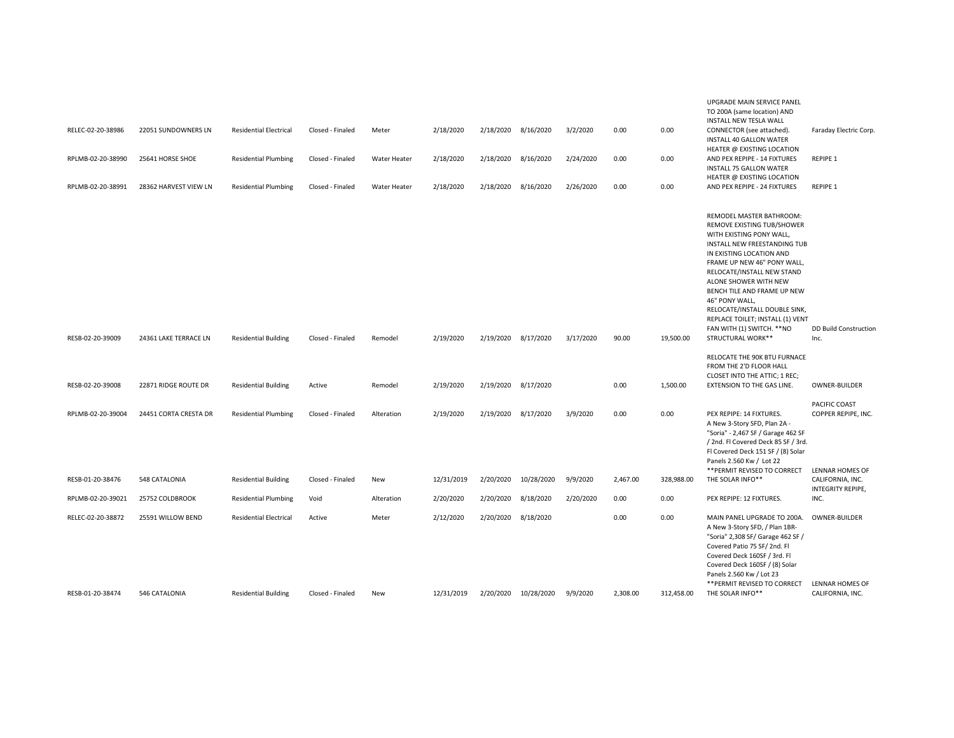| RELEC-02-20-38986 | 22051 SUNDOWNERS LN   | <b>Residential Electrical</b> | Closed - Finaled | Meter               | 2/18/2020  | 2/18/2020 8/16/2020 |                      | 3/2/2020  | 0.00     | 0.00       | TO 200A (same location) AND<br><b>INSTALL NEW TESLA WALL</b><br>CONNECTOR (see attached).<br>INSTALL 40 GALLON WATER                                                                                                                                                                                                                                                                    | Faraday Electric Corp.                                   |
|-------------------|-----------------------|-------------------------------|------------------|---------------------|------------|---------------------|----------------------|-----------|----------|------------|-----------------------------------------------------------------------------------------------------------------------------------------------------------------------------------------------------------------------------------------------------------------------------------------------------------------------------------------------------------------------------------------|----------------------------------------------------------|
| RPLMB-02-20-38990 | 25641 HORSE SHOE      | <b>Residential Plumbing</b>   | Closed - Finaled | <b>Water Heater</b> | 2/18/2020  | 2/18/2020 8/16/2020 |                      | 2/24/2020 | 0.00     | 0.00       | HEATER @ EXISTING LOCATION<br>AND PEX REPIPE - 14 FIXTURES<br>INSTALL 75 GALLON WATER<br>HEATER @ EXISTING LOCATION                                                                                                                                                                                                                                                                     | REPIPE 1                                                 |
| RPLMB-02-20-38991 | 28362 HARVEST VIEW LN | <b>Residential Plumbing</b>   | Closed - Finaled | <b>Water Heater</b> | 2/18/2020  | 2/18/2020 8/16/2020 |                      | 2/26/2020 | 0.00     | 0.00       | AND PEX REPIPE - 24 FIXTURES                                                                                                                                                                                                                                                                                                                                                            | REPIPE 1                                                 |
|                   |                       |                               |                  |                     |            |                     |                      |           |          |            | REMODEL MASTER BATHROOM:<br>REMOVE EXISTING TUB/SHOWER<br>WITH EXISTING PONY WALL,<br>INSTALL NEW FREESTANDING TUB<br>IN EXISTING LOCATION AND<br>FRAME UP NEW 46" PONY WALL,<br>RELOCATE/INSTALL NEW STAND<br>ALONE SHOWER WITH NEW<br>BENCH TILE AND FRAME UP NEW<br>46" PONY WALL<br>RELOCATE/INSTALL DOUBLE SINK,<br>REPLACE TOILET; INSTALL (1) VENT<br>FAN WITH (1) SWITCH. ** NO | <b>DD Build Construction</b>                             |
| RESB-02-20-39009  | 24361 LAKE TERRACE LN | <b>Residential Building</b>   | Closed - Finaled | Remodel             | 2/19/2020  | 2/19/2020 8/17/2020 |                      | 3/17/2020 | 90.00    | 19,500.00  | STRUCTURAL WORK**                                                                                                                                                                                                                                                                                                                                                                       | Inc.                                                     |
| RESB-02-20-39008  | 22871 RIDGE ROUTE DR  | <b>Residential Building</b>   | Active           | Remodel             | 2/19/2020  | 2/19/2020 8/17/2020 |                      |           | 0.00     | 1,500.00   | RELOCATE THE 90K BTU FURNACE<br>FROM THE 2'D FLOOR HALL<br>CLOSET INTO THE ATTIC; 1 REC;<br>EXTENSION TO THE GAS LINE.                                                                                                                                                                                                                                                                  | <b>OWNER-BUILDER</b>                                     |
| RPLMB-02-20-39004 | 24451 CORTA CRESTA DR | <b>Residential Plumbing</b>   | Closed - Finaled | Alteration          | 2/19/2020  | 2/19/2020 8/17/2020 |                      | 3/9/2020  | 0.00     | 0.00       | PEX REPIPE: 14 FIXTURES.<br>A New 3-Story SFD, Plan 2A -<br>"Soria" - 2,467 SF / Garage 462 SF<br>/ 2nd. Fl Covered Deck 85 SF / 3rd.<br>Fl Covered Deck 151 SF / (8) Solar<br>Panels 2.560 Kw / Lot 22                                                                                                                                                                                 | PACIFIC COAST<br>COPPER REPIPE, INC.                     |
| RESB-01-20-38476  | 548 CATALONIA         | <b>Residential Building</b>   | Closed - Finaled | New                 | 12/31/2019 | 2/20/2020           | 10/28/2020           | 9/9/2020  | 2,467.00 | 328,988.00 | ** PERMIT REVISED TO CORRECT<br>THE SOLAR INFO**                                                                                                                                                                                                                                                                                                                                        | LENNAR HOMES OF<br>CALIFORNIA, INC.<br>INTEGRITY REPIPE, |
| RPLMB-02-20-39021 | 25752 COLDBROOK       | <b>Residential Plumbing</b>   | Void             | Alteration          | 2/20/2020  | 2/20/2020           | 8/18/2020            | 2/20/2020 | 0.00     | 0.00       | PEX REPIPE: 12 FIXTURES.                                                                                                                                                                                                                                                                                                                                                                | INC.                                                     |
| RELEC-02-20-38872 | 25591 WILLOW BEND     | <b>Residential Electrical</b> | Active           | Meter               | 2/12/2020  | 2/20/2020           | 8/18/2020            |           | 0.00     | 0.00       | MAIN PANEL UPGRADE TO 200A.<br>A New 3-Story SFD, / Plan 1BR-<br>"Soria" 2,308 SF/ Garage 462 SF /<br>Covered Patio 75 SF/2nd. Fl<br>Covered Deck 160SF / 3rd. Fl<br>Covered Deck 160SF / (8) Solar<br>Panels 2.560 Kw / Lot 23                                                                                                                                                         | OWNER-BUILDER                                            |
| RESB-01-20-38474  | 546 CATALONIA         | <b>Residential Building</b>   | Closed - Finaled | New                 | 12/31/2019 |                     | 2/20/2020 10/28/2020 | 9/9/2020  | 2,308.00 | 312,458.00 | ** PERMIT REVISED TO CORRECT<br>THE SOLAR INFO**                                                                                                                                                                                                                                                                                                                                        | LENNAR HOMES OF<br>CALIFORNIA, INC.                      |
|                   |                       |                               |                  |                     |            |                     |                      |           |          |            |                                                                                                                                                                                                                                                                                                                                                                                         |                                                          |

UPGRADE MAIN SERVICE PANEL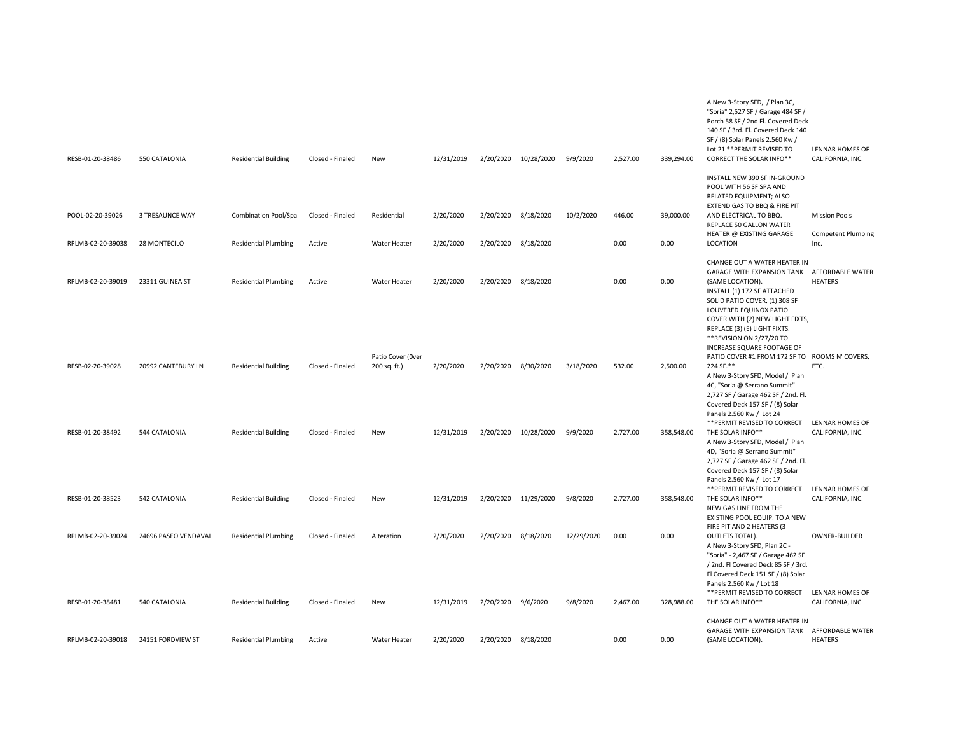| RESB-01-20-38486  | 550 CATALONIA        | <b>Residential Building</b> | Closed - Finaled | New                               | 12/31/2019 | 2/20/2020 | 10/28/2020 | 9/9/2020   | 2,527.00 | 339,294.00 | A New 3-Story SFD, / Plan 3C,<br>"Soria" 2,527 SF / Garage 484 SF /<br>Porch 58 SF / 2nd Fl. Covered Deck<br>140 SF / 3rd. Fl. Covered Deck 140<br>SF / (8) Solar Panels 2.560 Kw /<br>Lot 21 ** PERMIT REVISED TO<br>CORRECT THE SOLAR INFO**                      | LENNAR HOMES OF<br>CALIFORNIA, INC. |
|-------------------|----------------------|-----------------------------|------------------|-----------------------------------|------------|-----------|------------|------------|----------|------------|---------------------------------------------------------------------------------------------------------------------------------------------------------------------------------------------------------------------------------------------------------------------|-------------------------------------|
| POOL-02-20-39026  | 3 TRESAUNCE WAY      | Combination Pool/Spa        | Closed - Finaled | Residential                       | 2/20/2020  | 2/20/2020 | 8/18/2020  | 10/2/2020  | 446.00   | 39,000.00  | INSTALL NEW 390 SF IN-GROUND<br>POOL WITH 56 SF SPA AND<br>RELATED EQUIPMENT; ALSO<br>EXTEND GAS TO BBQ & FIRE PIT<br>AND ELECTRICAL TO BBQ.                                                                                                                        | <b>Mission Pools</b>                |
|                   |                      |                             |                  |                                   |            |           |            |            |          |            | REPLACE 50 GALLON WATER<br>HEATER @ EXISTING GARAGE                                                                                                                                                                                                                 | <b>Competent Plumbing</b>           |
| RPLMB-02-20-39038 | 28 MONTECILO         | <b>Residential Plumbing</b> | Active           | Water Heater                      | 2/20/2020  | 2/20/2020 | 8/18/2020  |            | 0.00     | 0.00       | LOCATION                                                                                                                                                                                                                                                            | Inc.                                |
| RPLMB-02-20-39019 | 23311 GUINEA ST      | <b>Residential Plumbing</b> | Active           | Water Heater                      | 2/20/2020  | 2/20/2020 | 8/18/2020  |            | 0.00     | 0.00       | CHANGE OUT A WATER HEATER IN<br><b>GARAGE WITH EXPANSION TANK</b><br>(SAME LOCATION).<br>INSTALL (1) 172 SF ATTACHED<br>SOLID PATIO COVER, (1) 308 SF<br>LOUVERED EQUINOX PATIO<br>COVER WITH (2) NEW LIGHT FIXTS,<br>REPLACE (3) (E) LIGHT FIXTS.                  | AFFORDABLE WATER<br>HEATERS         |
| RESB-02-20-39028  | 20992 CANTEBURY LN   | <b>Residential Building</b> | Closed - Finaled | Patio Cover (Over<br>200 sq. ft.) | 2/20/2020  | 2/20/2020 | 8/30/2020  | 3/18/2020  | 532.00   | 2,500.00   | ** REVISION ON 2/27/20 TO<br>INCREASE SQUARE FOOTAGE OF<br>PATIO COVER #1 FROM 172 SF TO ROOMS N' COVERS,<br>224 SF.**<br>A New 3-Story SFD, Model / Plan<br>4C, "Soria @ Serrano Summit"<br>2,727 SF / Garage 462 SF / 2nd. Fl.<br>Covered Deck 157 SF / (8) Solar | ETC.                                |
| RESB-01-20-38492  | 544 CATALONIA        | <b>Residential Building</b> | Closed - Finaled | New                               | 12/31/2019 | 2/20/2020 | 10/28/2020 | 9/9/2020   | 2,727.00 | 358,548.00 | Panels 2.560 Kw / Lot 24<br>** PERMIT REVISED TO CORRECT<br>THE SOLAR INFO**<br>A New 3-Story SFD, Model / Plan<br>4D, "Soria @ Serrano Summit"<br>2,727 SF / Garage 462 SF / 2nd. Fl.                                                                              | LENNAR HOMES OF<br>CALIFORNIA, INC. |
| RESB-01-20-38523  | 542 CATALONIA        | <b>Residential Building</b> | Closed - Finaled | <b>New</b>                        | 12/31/2019 | 2/20/2020 | 11/29/2020 | 9/8/2020   | 2,727.00 | 358,548.00 | Covered Deck 157 SF / (8) Solar<br>Panels 2.560 Kw / Lot 17<br>** PERMIT REVISED TO CORRECT<br>THE SOLAR INFO**<br>NEW GAS LINE FROM THE<br>EXISTING POOL EQUIP. TO A NEW<br>FIRE PIT AND 2 HEATERS (3                                                              | LENNAR HOMES OF<br>CALIFORNIA, INC. |
| RPLMB-02-20-39024 | 24696 PASEO VENDAVAL | <b>Residential Plumbing</b> | Closed - Finaled | Alteration                        | 2/20/2020  | 2/20/2020 | 8/18/2020  | 12/29/2020 | 0.00     | 0.00       | OUTLETS TOTAL).<br>A New 3-Story SFD, Plan 2C -<br>"Soria" - 2,467 SF / Garage 462 SF<br>/ 2nd. Fl Covered Deck 85 SF / 3rd.<br>Fl Covered Deck 151 SF / (8) Solar<br>Panels 2.560 Kw / Lot 18<br>** PERMIT REVISED TO CORRECT LENNAR HOMES OF                      | OWNER-BUILDER                       |
| RESB-01-20-38481  | 540 CATALONIA        | <b>Residential Building</b> | Closed - Finaled | New                               | 12/31/2019 | 2/20/2020 | 9/6/2020   | 9/8/2020   | 2,467.00 | 328,988.00 | THE SOLAR INFO**                                                                                                                                                                                                                                                    | CALIFORNIA, INC.                    |
| RPLMB-02-20-39018 | 24151 FORDVIEW ST    | <b>Residential Plumbing</b> | Active           | <b>Water Heater</b>               | 2/20/2020  | 2/20/2020 | 8/18/2020  |            | 0.00     | 0.00       | CHANGE OUT A WATER HEATER IN<br>GARAGE WITH EXPANSION TANK AFFORDABLE WATER<br>(SAME LOCATION).                                                                                                                                                                     | HEATERS                             |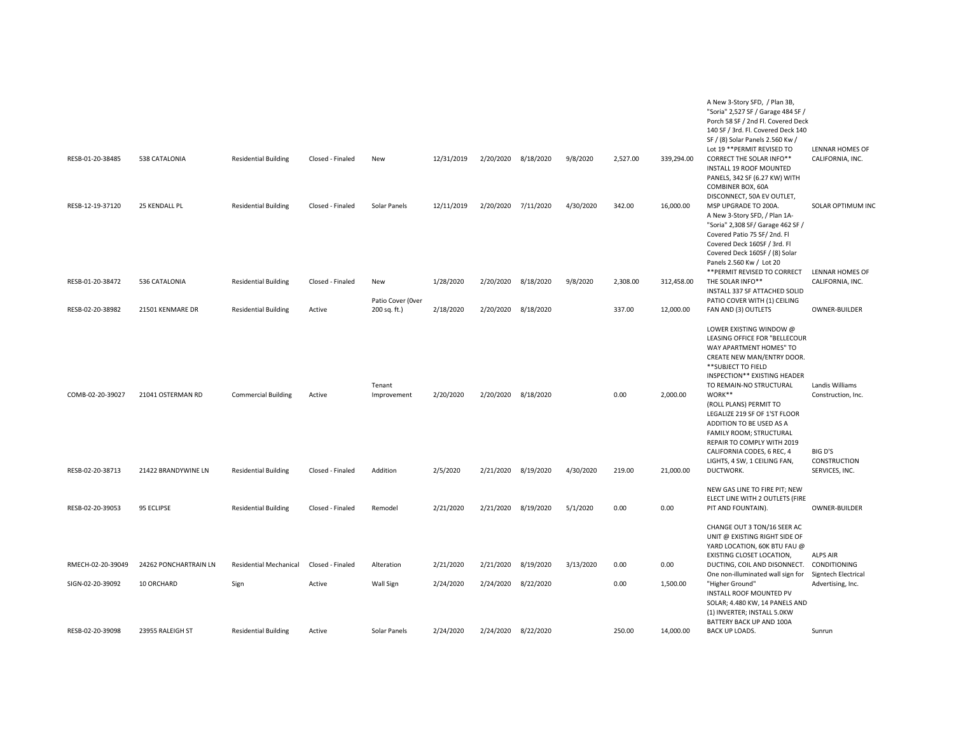| RESB-01-20-38485  | 538 CATALONIA         | <b>Residential Building</b> | Closed - Finaled | New                      | 12/31/2019 | 2/20/2020 | 8/18/2020 | 9/8/2020  | 2,527.00 | 339,294.00 | A New 3-Story SFD, / Plan 3B,<br>"Soria" 2,527 SF / Garage 484 SF /<br>Porch 58 SF / 2nd Fl. Covered Deck<br>140 SF / 3rd. Fl. Covered Deck 140<br>SF / (8) Solar Panels 2.560 Kw /<br>Lot 19 ** PERMIT REVISED TO<br><b>CORRECT THE SOLAR INFO**</b><br>INSTALL 19 ROOF MOUNTED<br>PANELS, 342 SF (6.27 KW) WITH<br>COMBINER BOX, 60A                                                                                     | LENNAR HOMES OF<br>CALIFORNIA, INC.                              |
|-------------------|-----------------------|-----------------------------|------------------|--------------------------|------------|-----------|-----------|-----------|----------|------------|----------------------------------------------------------------------------------------------------------------------------------------------------------------------------------------------------------------------------------------------------------------------------------------------------------------------------------------------------------------------------------------------------------------------------|------------------------------------------------------------------|
| RESB-12-19-37120  | 25 KENDALL PL         | <b>Residential Building</b> | Closed - Finaled | Solar Panels             | 12/11/2019 | 2/20/2020 | 7/11/2020 | 4/30/2020 | 342.00   | 16,000.00  | DISCONNECT, 50A EV OUTLET,<br>MSP UPGRADE TO 200A.<br>A New 3-Story SFD, / Plan 1A-<br>"Soria" 2,308 SF/ Garage 462 SF /<br>Covered Patio 75 SF/2nd. Fl<br>Covered Deck 160SF / 3rd. Fl<br>Covered Deck 160SF / (8) Solar<br>Panels 2.560 Kw / Lot 20<br>** PERMIT REVISED TO CORRECT                                                                                                                                      | <b>SOLAR OPTIMUM INC</b><br>LENNAR HOMES OF                      |
| RESB-01-20-38472  | 536 CATALONIA         | <b>Residential Building</b> | Closed - Finaled | New<br>Patio Cover (Over | 1/28/2020  | 2/20/2020 | 8/18/2020 | 9/8/2020  | 2,308.00 | 312,458.00 | THE SOLAR INFO**<br>INSTALL 337 SF ATTACHED SOLID<br>PATIO COVER WITH (1) CEILING                                                                                                                                                                                                                                                                                                                                          | CALIFORNIA, INC.                                                 |
| RESB-02-20-38982  | 21501 KENMARE DR      | <b>Residential Building</b> | Active           | 200 sq. ft.)             | 2/18/2020  | 2/20/2020 | 8/18/2020 |           | 337.00   | 12,000.00  | FAN AND (3) OUTLETS                                                                                                                                                                                                                                                                                                                                                                                                        | OWNER-BUILDER                                                    |
| COMB-02-20-39027  | 21041 OSTERMAN RD     | <b>Commercial Building</b>  | Active           | Tenant<br>Improvement    | 2/20/2020  | 2/20/2020 | 8/18/2020 |           | 0.00     | 2,000.00   | LOWER EXISTING WINDOW @<br>LEASING OFFICE FOR "BELLECOUR<br>WAY APARTMENT HOMES" TO<br>CREATE NEW MAN/ENTRY DOOR.<br>**SUBJECT TO FIELD<br>INSPECTION** EXISTING HEADER<br>TO REMAIN-NO STRUCTURAL<br>WORK**<br>(ROLL PLANS) PERMIT TO<br>LEGALIZE 219 SF OF 1'ST FLOOR<br>ADDITION TO BE USED AS A<br>FAMILY ROOM; STRUCTURAL<br>REPAIR TO COMPLY WITH 2019<br>CALIFORNIA CODES, 6 REC, 4<br>LIGHTS, 4 SW, 1 CEILING FAN, | Landis Williams<br>Construction, Inc.<br>BIG D'S<br>CONSTRUCTION |
| RESB-02-20-38713  | 21422 BRANDYWINE LN   | <b>Residential Building</b> | Closed - Finaled | Addition                 | 2/5/2020   | 2/21/2020 | 8/19/2020 | 4/30/2020 | 219.00   | 21,000.00  | DUCTWORK.                                                                                                                                                                                                                                                                                                                                                                                                                  | SERVICES, INC.                                                   |
| RESB-02-20-39053  | 95 ECLIPSE            | <b>Residential Building</b> | Closed - Finaled | Remodel                  | 2/21/2020  | 2/21/2020 | 8/19/2020 | 5/1/2020  | 0.00     | 0.00       | NEW GAS LINE TO FIRE PIT; NEW<br>ELECT LINE WITH 2 OUTLETS (FIRE<br>PIT AND FOUNTAIN).                                                                                                                                                                                                                                                                                                                                     | OWNER-BUILDER                                                    |
|                   |                       |                             |                  |                          |            |           |           |           |          |            | CHANGE OUT 3 TON/16 SEER AC<br>UNIT @ EXISTING RIGHT SIDE OF<br>YARD LOCATION, 60K BTU FAU @<br>EXISTING CLOSET LOCATION,                                                                                                                                                                                                                                                                                                  | <b>ALPS AIR</b>                                                  |
| RMECH-02-20-39049 | 24262 PONCHARTRAIN LN | Residential Mechanical      | Closed - Finaled | Alteration               | 2/21/2020  | 2/21/2020 | 8/19/2020 | 3/13/2020 | 0.00     | 0.00       | DUCTING, COIL AND DISONNECT. CONDITIONING<br>One non-illuminated wall sign for                                                                                                                                                                                                                                                                                                                                             | Signtech Electrical                                              |
| SIGN-02-20-39092  | 10 ORCHARD            | Sign                        | Active           | Wall Sign                | 2/24/2020  | 2/24/2020 | 8/22/2020 |           | 0.00     | 1,500.00   | "Higher Ground"<br><b>INSTALL ROOF MOUNTED PV</b><br>SOLAR; 4.480 KW, 14 PANELS AND<br>(1) INVERTER; INSTALL 5.0KW<br>BATTERY BACK UP AND 100A                                                                                                                                                                                                                                                                             | Advertising, Inc.                                                |
| RESB-02-20-39098  | 23955 RALEIGH ST      | <b>Residential Building</b> | Active           | Solar Panels             | 2/24/2020  | 2/24/2020 | 8/22/2020 |           | 250.00   | 14,000.00  | <b>BACK UP LOADS.</b>                                                                                                                                                                                                                                                                                                                                                                                                      | Sunrun                                                           |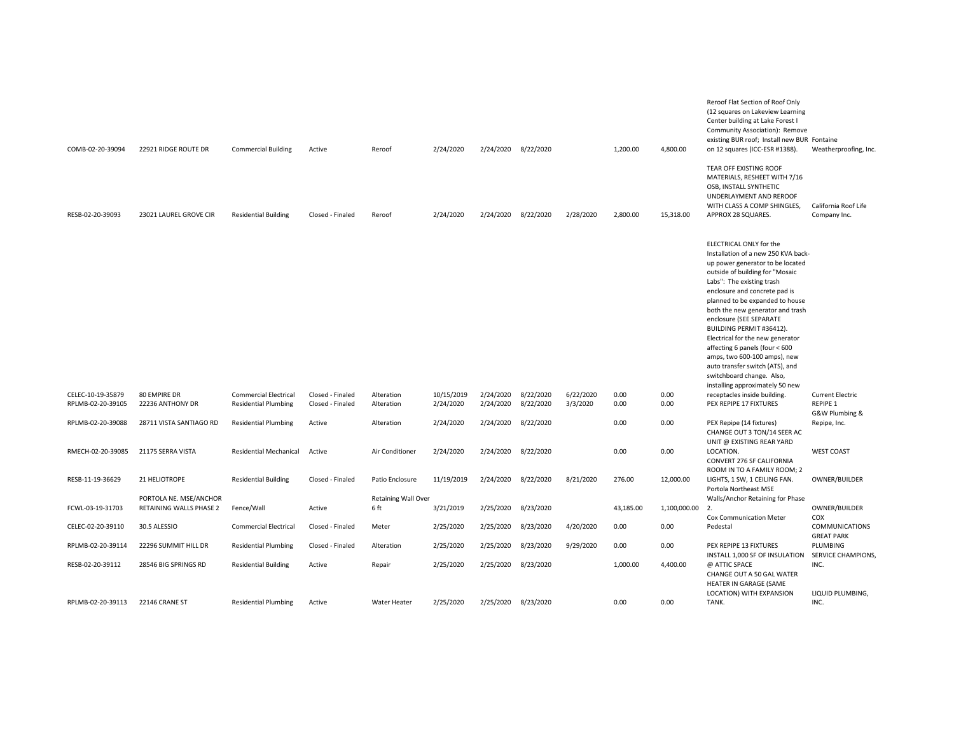| COMB-02-20-39094                       | 22921 RIDGE ROUTE DR             | <b>Commercial Building</b>                                  | Active                               | Reroof                     | 2/24/2020               | 2/24/2020 8/22/2020    |                        |                       | 1,200.00     | 4,800.00        | Reroof Flat Section of Roof Only<br>(12 squares on Lakeview Learning<br>Center building at Lake Forest I<br>Community Association): Remove<br>existing BUR roof; Install new BUR Fontaine<br>on 12 squares (ICC-ESR #1388).                                                                                                                                                                                                                                                                                                                | Weatherproofing, Inc.                                 |
|----------------------------------------|----------------------------------|-------------------------------------------------------------|--------------------------------------|----------------------------|-------------------------|------------------------|------------------------|-----------------------|--------------|-----------------|--------------------------------------------------------------------------------------------------------------------------------------------------------------------------------------------------------------------------------------------------------------------------------------------------------------------------------------------------------------------------------------------------------------------------------------------------------------------------------------------------------------------------------------------|-------------------------------------------------------|
| RESB-02-20-39093                       | 23021 LAUREL GROVE CIR           | <b>Residential Building</b>                                 | Closed - Finaled                     | Reroof                     | 2/24/2020               | 2/24/2020 8/22/2020    |                        | 2/28/2020             | 2,800.00     | 15,318.00       | TEAR OFF EXISTING ROOF<br>MATERIALS, RESHEET WITH 7/16<br>OSB, INSTALL SYNTHETIC<br>UNDERLAYMENT AND REROOF<br>WITH CLASS A COMP SHINGLES,<br>APPROX 28 SQUARES.                                                                                                                                                                                                                                                                                                                                                                           | California Roof Life<br>Company Inc.                  |
|                                        |                                  |                                                             |                                      |                            |                         |                        |                        |                       |              |                 | ELECTRICAL ONLY for the<br>Installation of a new 250 KVA back-<br>up power generator to be located<br>outside of building for "Mosaic<br>Labs": The existing trash<br>enclosure and concrete pad is<br>planned to be expanded to house<br>both the new generator and trash<br>enclosure (SEE SEPARATE<br>BUILDING PERMIT #36412).<br>Electrical for the new generator<br>affecting 6 panels (four < 600<br>amps, two 600-100 amps), new<br>auto transfer switch (ATS), and<br>switchboard change. Also,<br>installing approximately 50 new |                                                       |
| CELEC-10-19-35879<br>RPLMB-02-20-39105 | 80 EMPIRE DR<br>22236 ANTHONY DR | <b>Commercial Electrical</b><br><b>Residential Plumbing</b> | Closed - Finaled<br>Closed - Finaled | Alteration<br>Alteration   | 10/15/2019<br>2/24/2020 | 2/24/2020<br>2/24/2020 | 8/22/2020<br>8/22/2020 | 6/22/2020<br>3/3/2020 | 0.00<br>0.00 | 0.00<br>0.00    | receptacles inside building.<br>PEX REPIPE 17 FIXTURES                                                                                                                                                                                                                                                                                                                                                                                                                                                                                     | <b>Current Electric</b><br>REPIPE 1<br>G&W Plumbing & |
| RPLMB-02-20-39088                      | 28711 VISTA SANTIAGO RD          | <b>Residential Plumbing</b>                                 | Active                               | Alteration                 | 2/24/2020               | 2/24/2020              | 8/22/2020              |                       | 0.00         | 0.00            | PEX Repipe (14 fixtures)<br>CHANGE OUT 3 TON/14 SEER AC<br>UNIT @ EXISTING REAR YARD                                                                                                                                                                                                                                                                                                                                                                                                                                                       | Repipe, Inc.                                          |
| RMECH-02-20-39085                      | 21175 SERRA VISTA                | <b>Residential Mechanical</b>                               | Active                               | Air Conditioner            | 2/24/2020               | 2/24/2020              | 8/22/2020              |                       | 0.00         | 0.00            | LOCATION.<br>CONVERT 276 SF CALIFORNIA                                                                                                                                                                                                                                                                                                                                                                                                                                                                                                     | <b>WEST COAST</b>                                     |
| RESB-11-19-36629                       | 21 HELIOTROPE                    | <b>Residential Building</b>                                 | Closed - Finaled                     | Patio Enclosure            | 11/19/2019              | 2/24/2020              | 8/22/2020              | 8/21/2020             | 276.00       | 12,000.00       | ROOM IN TO A FAMILY ROOM; 2<br>LIGHTS, 1 SW, 1 CEILING FAN.<br>Portola Northeast MSE                                                                                                                                                                                                                                                                                                                                                                                                                                                       | OWNER/BUILDER                                         |
|                                        | PORTOLA NE. MSE/ANCHOR           |                                                             |                                      | <b>Retaining Wall Over</b> |                         |                        |                        |                       |              |                 | Walls/Anchor Retaining for Phase                                                                                                                                                                                                                                                                                                                                                                                                                                                                                                           |                                                       |
| FCWL-03-19-31703                       | RETAINING WALLS PHASE 2          | Fence/Wall                                                  | Active                               | 6 ft                       | 3/21/2019               | 2/25/2020              | 8/23/2020              |                       | 43,185.00    | 1,100,000.00 2. | <b>Cox Communication Meter</b>                                                                                                                                                                                                                                                                                                                                                                                                                                                                                                             | OWNER/BUILDER<br>COX                                  |
| CELEC-02-20-39110                      | 30.5 ALESSIO                     | <b>Commercial Electrical</b>                                | Closed - Finaled                     | Meter                      | 2/25/2020               | 2/25/2020              | 8/23/2020              | 4/20/2020             | 0.00         | 0.00            | Pedestal                                                                                                                                                                                                                                                                                                                                                                                                                                                                                                                                   | <b>COMMUNICATIONS</b><br><b>GREAT PARK</b>            |
| RPLMB-02-20-39114                      | 22296 SUMMIT HILL DR             | <b>Residential Plumbing</b>                                 | Closed - Finaled                     | Alteration                 | 2/25/2020               | 2/25/2020              | 8/23/2020              | 9/29/2020             | 0.00         | 0.00            | PEX REPIPE 13 FIXTURES                                                                                                                                                                                                                                                                                                                                                                                                                                                                                                                     | PLUMBING                                              |
| RESB-02-20-39112                       | 28546 BIG SPRINGS RD             | <b>Residential Building</b>                                 | Active                               | Repair                     | 2/25/2020               | 2/25/2020 8/23/2020    |                        |                       | 1,000.00     | 4,400.00        | INSTALL 1,000 SF OF INSULATION<br>@ ATTIC SPACE<br>CHANGE OUT A 50 GAL WATER<br>HEATER IN GARAGE (SAME<br>LOCATION) WITH EXPANSION                                                                                                                                                                                                                                                                                                                                                                                                         | SERVICE CHAMPIONS,<br>INC.<br>LIQUID PLUMBING,        |
| RPLMB-02-20-39113                      | 22146 CRANE ST                   | <b>Residential Plumbing</b>                                 | Active                               | <b>Water Heater</b>        | 2/25/2020               | 2/25/2020 8/23/2020    |                        |                       | 0.00         | 0.00            | TANK.                                                                                                                                                                                                                                                                                                                                                                                                                                                                                                                                      | INC.                                                  |
|                                        |                                  |                                                             |                                      |                            |                         |                        |                        |                       |              |                 |                                                                                                                                                                                                                                                                                                                                                                                                                                                                                                                                            |                                                       |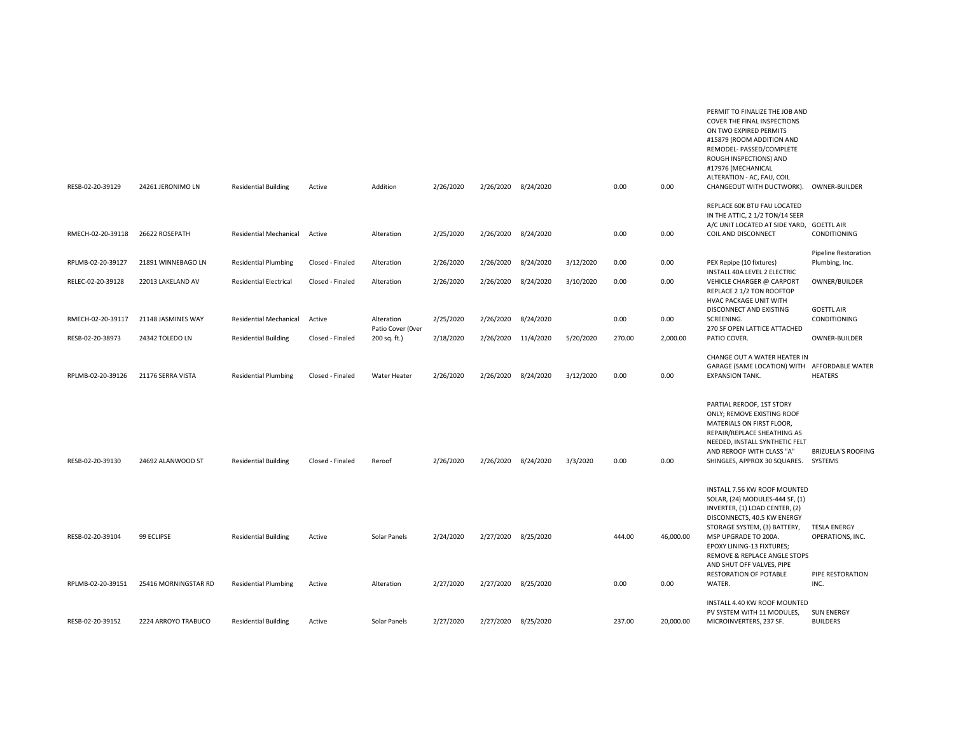|                   |                      |                               |                  |                                 |           |                     |           |           |        |           | COVER THE FINAL INSPECTIONS<br>ON TWO EXPIRED PERMITS<br>#15879 (ROOM ADDITION AND<br>REMODEL- PASSED/COMPLETE<br>ROUGH INSPECTIONS) AND<br>#17976 (MECHANICAL<br>ALTERATION - AC, FAU, COIL                       |                                               |
|-------------------|----------------------|-------------------------------|------------------|---------------------------------|-----------|---------------------|-----------|-----------|--------|-----------|--------------------------------------------------------------------------------------------------------------------------------------------------------------------------------------------------------------------|-----------------------------------------------|
| RESB-02-20-39129  | 24261 JERONIMO LN    | <b>Residential Building</b>   | Active           | Addition                        | 2/26/2020 | 2/26/2020 8/24/2020 |           |           | 0.00   | 0.00      | CHANGEOUT WITH DUCTWORK).                                                                                                                                                                                          | OWNER-BUILDER                                 |
|                   |                      |                               |                  |                                 |           |                     |           |           |        |           | REPLACE 60K BTU FAU LOCATED<br>IN THE ATTIC, 2 1/2 TON/14 SEER<br>A/C UNIT LOCATED AT SIDE YARD, GOETTL AIR                                                                                                        |                                               |
| RMECH-02-20-39118 | 26622 ROSEPATH       | Residential Mechanical        | Active           | Alteration                      | 2/25/2020 | 2/26/2020 8/24/2020 |           |           | 0.00   | 0.00      | COIL AND DISCONNECT                                                                                                                                                                                                | CONDITIONING                                  |
| RPLMB-02-20-39127 | 21891 WINNEBAGO LN   | <b>Residential Plumbing</b>   | Closed - Finaled | Alteration                      | 2/26/2020 | 2/26/2020           | 8/24/2020 | 3/12/2020 | 0.00   | 0.00      | PEX Repipe (10 fixtures)<br>INSTALL 40A LEVEL 2 ELECTRIC                                                                                                                                                           | <b>Pipeline Restoration</b><br>Plumbing, Inc. |
| RELEC-02-20-39128 | 22013 LAKELAND AV    | <b>Residential Electrical</b> | Closed - Finaled | Alteration                      | 2/26/2020 | 2/26/2020           | 8/24/2020 | 3/10/2020 | 0.00   | 0.00      | VEHICLE CHARGER @ CARPORT<br>REPLACE 2 1/2 TON ROOFTOP<br>HVAC PACKAGE UNIT WITH                                                                                                                                   | OWNER/BUILDER                                 |
| RMECH-02-20-39117 | 21148 JASMINES WAY   | <b>Residential Mechanical</b> | Active           | Alteration<br>Patio Cover (Over | 2/25/2020 | 2/26/2020 8/24/2020 |           |           | 0.00   | 0.00      | DISCONNECT AND EXISTING<br>SCREENING.<br>270 SF OPEN LATTICE ATTACHED                                                                                                                                              | <b>GOETTL AIR</b><br>CONDITIONING             |
| RESB-02-20-38973  | 24342 TOLEDO LN      | <b>Residential Building</b>   | Closed - Finaled | 200 sq. ft.)                    | 2/18/2020 | 2/26/2020 11/4/2020 |           | 5/20/2020 | 270.00 | 2,000.00  | PATIO COVER.                                                                                                                                                                                                       | OWNER-BUILDER                                 |
| RPLMB-02-20-39126 | 21176 SERRA VISTA    | <b>Residential Plumbing</b>   | Closed - Finaled | Water Heater                    | 2/26/2020 | 2/26/2020           | 8/24/2020 | 3/12/2020 | 0.00   | 0.00      | CHANGE OUT A WATER HEATER IN<br>GARAGE (SAME LOCATION) WITH AFFORDABLE WATER<br><b>EXPANSION TANK.</b>                                                                                                             | HEATERS                                       |
| RESB-02-20-39130  | 24692 ALANWOOD ST    | <b>Residential Building</b>   | Closed - Finaled | Reroof                          | 2/26/2020 | 2/26/2020           | 8/24/2020 | 3/3/2020  | 0.00   | 0.00      | PARTIAL REROOF, 1ST STORY<br>ONLY; REMOVE EXISTING ROOF<br>MATERIALS ON FIRST FLOOR,<br>REPAIR/REPLACE SHEATHING AS<br>NEEDED, INSTALL SYNTHETIC FELT<br>AND REROOF WITH CLASS "A"<br>SHINGLES, APPROX 30 SQUARES. | <b>BRIZUELA'S ROOFING</b><br>SYSTEMS          |
|                   |                      |                               |                  |                                 |           |                     |           |           |        |           | INSTALL 7.56 KW ROOF MOUNTED<br>SOLAR, (24) MODULES-444 SF, (1)<br>INVERTER, (1) LOAD CENTER, (2)<br>DISCONNECTS, 40.5 KW ENERGY                                                                                   |                                               |
| RESB-02-20-39104  | 99 ECLIPSE           | <b>Residential Building</b>   | Active           | Solar Panels                    | 2/24/2020 | 2/27/2020 8/25/2020 |           |           | 444.00 | 46,000.00 | STORAGE SYSTEM, (3) BATTERY,<br>MSP UPGRADE TO 200A.<br>EPOXY LINING-13 FIXTURES;<br>REMOVE & REPLACE ANGLE STOPS<br>AND SHUT OFF VALVES, PIPE                                                                     | <b>TESLA ENERGY</b><br>OPERATIONS, INC.       |
| RPLMB-02-20-39151 | 25416 MORNINGSTAR RD | <b>Residential Plumbing</b>   | Active           | Alteration                      | 2/27/2020 | 2/27/2020           | 8/25/2020 |           | 0.00   | 0.00      | RESTORATION OF POTABLE<br>WATER.                                                                                                                                                                                   | PIPE RESTORATION<br>INC.                      |
| RESB-02-20-39152  | 2224 ARROYO TRABUCO  | <b>Residential Building</b>   | Active           | Solar Panels                    | 2/27/2020 | 2/27/2020 8/25/2020 |           |           | 237.00 | 20,000.00 | INSTALL 4.40 KW ROOF MOUNTED<br>PV SYSTEM WITH 11 MODULES,<br>MICROINVERTERS, 237 SF.                                                                                                                              | <b>SUN ENERGY</b><br><b>BUILDERS</b>          |

PERMIT TO FINALIZE THE JOB AND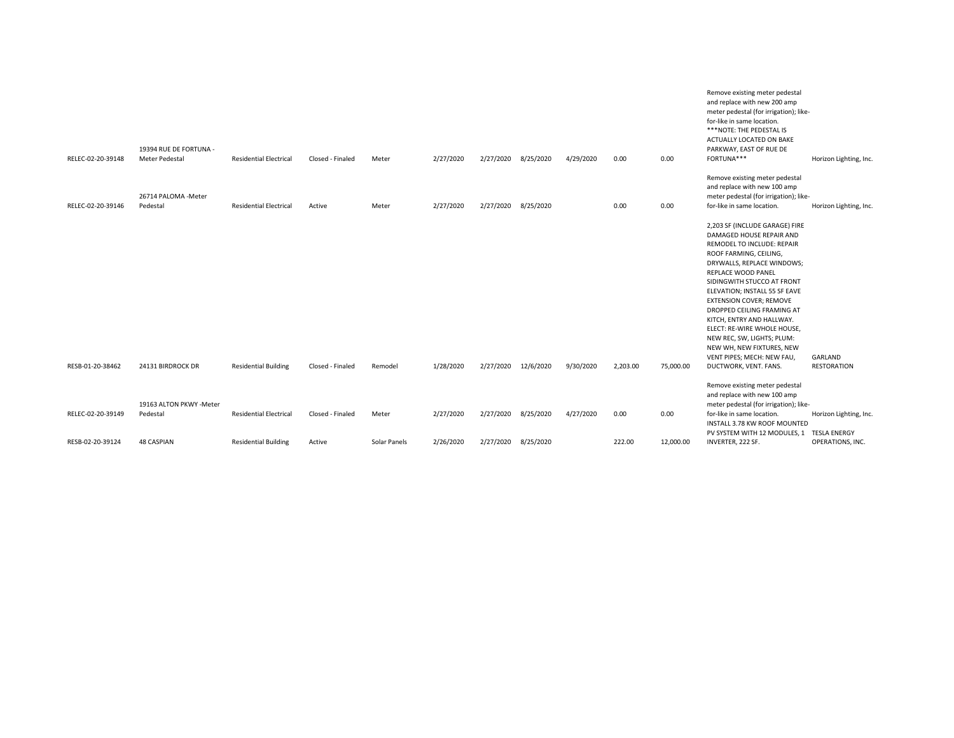| RELEC-02-20-39148 | 19394 RUE DE FORTUNA -<br><b>Meter Pedestal</b> | <b>Residential Electrical</b> | Closed - Finaled | Meter        | 2/27/2020 | 2/27/2020 | 8/25/2020 | 4/29/2020 | 0.00     | 0.00      | Remove existing meter pedestal<br>and replace with new 200 amp<br>meter pedestal (for irrigation); like-<br>for-like in same location.<br>***NOTE: THE PEDESTAL IS<br>ACTUALLY LOCATED ON BAKE<br>PARKWAY, EAST OF RUE DE<br>FORTUNA***                                                                                                                                                                                                                                             | Horizon Lighting, Inc. |
|-------------------|-------------------------------------------------|-------------------------------|------------------|--------------|-----------|-----------|-----------|-----------|----------|-----------|-------------------------------------------------------------------------------------------------------------------------------------------------------------------------------------------------------------------------------------------------------------------------------------------------------------------------------------------------------------------------------------------------------------------------------------------------------------------------------------|------------------------|
| RELEC-02-20-39146 | 26714 PALOMA - Meter<br>Pedestal                | <b>Residential Electrical</b> | Active           | Meter        | 2/27/2020 | 2/27/2020 | 8/25/2020 |           | 0.00     | 0.00      | Remove existing meter pedestal<br>and replace with new 100 amp<br>meter pedestal (for irrigation); like-<br>for-like in same location.                                                                                                                                                                                                                                                                                                                                              | Horizon Lighting, Inc. |
| RESB-01-20-38462  | 24131 BIRDROCK DR                               | <b>Residential Building</b>   | Closed - Finaled | Remodel      | 1/28/2020 | 2/27/2020 | 12/6/2020 | 9/30/2020 | 2,203.00 | 75,000.00 | 2,203 SF (INCLUDE GARAGE) FIRE<br>DAMAGED HOUSE REPAIR AND<br>REMODEL TO INCLUDE: REPAIR<br>ROOF FARMING, CEILING,<br>DRYWALLS, REPLACE WINDOWS;<br>REPLACE WOOD PANEL<br>SIDINGWITH STUCCO AT FRONT<br>ELEVATION; INSTALL 55 SF EAVE<br><b>EXTENSION COVER; REMOVE</b><br>DROPPED CEILING FRAMING AT<br>KITCH, ENTRY AND HALLWAY.<br>ELECT: RE-WIRE WHOLE HOUSE,<br>NEW REC, SW, LIGHTS; PLUM:<br>NEW WH, NEW FIXTURES, NEW<br>VENT PIPES; MECH: NEW FAU,<br>DUCTWORK, VENT. FANS. | GARLAND<br>RESTORATION |
|                   | 19163 ALTON PKWY -Meter                         |                               |                  |              |           |           |           |           |          |           | Remove existing meter pedestal<br>and replace with new 100 amp<br>meter pedestal (for irrigation); like-                                                                                                                                                                                                                                                                                                                                                                            |                        |
| RELEC-02-20-39149 | Pedestal                                        | <b>Residential Electrical</b> | Closed - Finaled | Meter        | 2/27/2020 | 2/27/2020 | 8/25/2020 | 4/27/2020 | 0.00     | 0.00      | for-like in same location.<br>INSTALL 3.78 KW ROOF MOUNTED<br>PV SYSTEM WITH 12 MODULES, 1 TESLA ENERGY                                                                                                                                                                                                                                                                                                                                                                             | Horizon Lighting, Inc. |
| RESB-02-20-39124  | <b>48 CASPIAN</b>                               | <b>Residential Building</b>   | Active           | Solar Panels | 2/26/2020 | 2/27/2020 | 8/25/2020 |           | 222.00   | 12,000.00 | INVERTER, 222 SF.                                                                                                                                                                                                                                                                                                                                                                                                                                                                   | OPERATIONS, INC.       |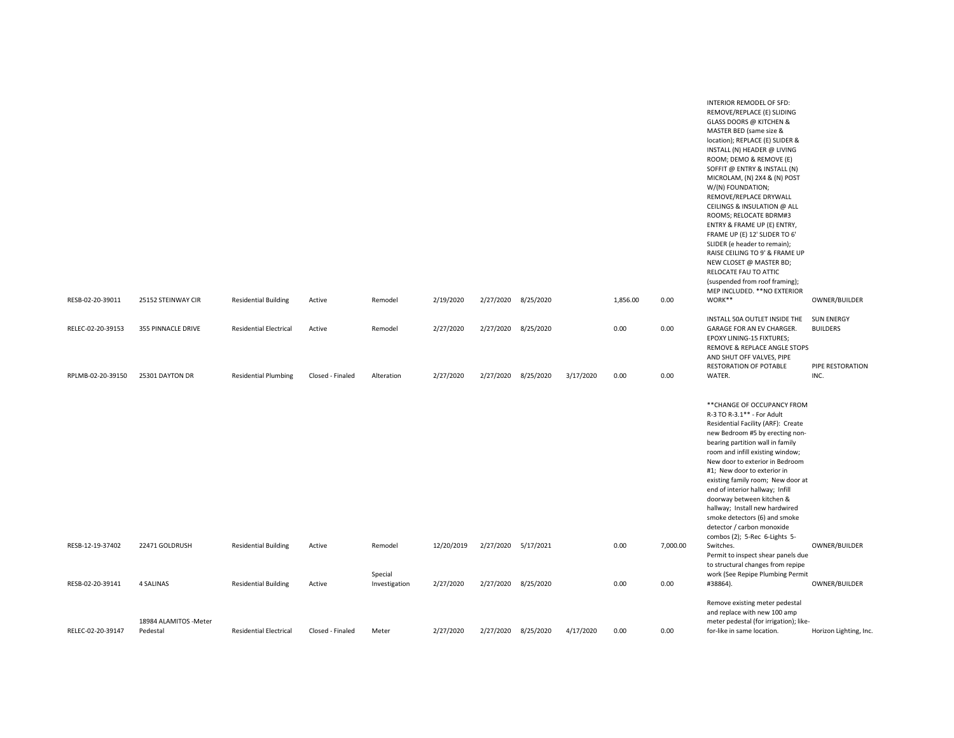| RESB-02-20-39011  | 25152 STEINWAY CIR                 | <b>Residential Building</b>   | Active           | Remodel                  | 2/19/2020  | 2/27/2020           | 8/25/2020 |           | 1,856.00 | 0.00     | INTERIOR REMODEL OF SFD:<br>REMOVE/REPLACE (E) SLIDING<br><b>GLASS DOORS @ KITCHEN &amp;</b><br>MASTER BED (same size &<br>location); REPLACE (E) SLIDER &<br>INSTALL (N) HEADER @ LIVING<br>ROOM; DEMO & REMOVE (E)<br>SOFFIT @ ENTRY & INSTALL (N)<br>MICROLAM, (N) 2X4 & (N) POST<br>W/(N) FOUNDATION;<br>REMOVE/REPLACE DRYWALL<br>CEILINGS & INSULATION @ ALL<br>ROOMS; RELOCATE BDRM#3<br>ENTRY & FRAME UP (E) ENTRY,<br>FRAME UP (E) 12' SLIDER TO 6'<br>SLIDER (e header to remain);<br>RAISE CEILING TO 9' & FRAME UP<br>NEW CLOSET @ MASTER BD;<br>RELOCATE FAU TO ATTIC<br>(suspended from roof framing);<br>MEP INCLUDED. ** NO EXTERIOR<br>WORK** | OWNER/BUILDER                       |
|-------------------|------------------------------------|-------------------------------|------------------|--------------------------|------------|---------------------|-----------|-----------|----------|----------|----------------------------------------------------------------------------------------------------------------------------------------------------------------------------------------------------------------------------------------------------------------------------------------------------------------------------------------------------------------------------------------------------------------------------------------------------------------------------------------------------------------------------------------------------------------------------------------------------------------------------------------------------------------|-------------------------------------|
|                   |                                    |                               |                  |                          |            |                     |           |           |          |          | INSTALL 50A OUTLET INSIDE THE                                                                                                                                                                                                                                                                                                                                                                                                                                                                                                                                                                                                                                  | <b>SUN ENERGY</b>                   |
| RELEC-02-20-39153 | 355 PINNACLE DRIVE                 | <b>Residential Electrical</b> | Active           | Remodel                  | 2/27/2020  | 2/27/2020           | 8/25/2020 |           | 0.00     | 0.00     | GARAGE FOR AN EV CHARGER.<br>EPOXY LINING-15 FIXTURES;<br>REMOVE & REPLACE ANGLE STOPS<br>AND SHUT OFF VALVES, PIPE<br>RESTORATION OF POTABLE                                                                                                                                                                                                                                                                                                                                                                                                                                                                                                                  | <b>BUILDERS</b><br>PIPE RESTORATION |
| RPLMB-02-20-39150 | 25301 DAYTON DR                    | <b>Residential Plumbing</b>   | Closed - Finaled | Alteration               | 2/27/2020  | 2/27/2020           | 8/25/2020 | 3/17/2020 | 0.00     | 0.00     | WATER.                                                                                                                                                                                                                                                                                                                                                                                                                                                                                                                                                                                                                                                         | INC.                                |
|                   |                                    |                               |                  |                          |            |                     |           |           |          |          | ** CHANGE OF OCCUPANCY FROM<br>R-3 TO R-3.1** - For Adult<br>Residential Facility (ARF): Create<br>new Bedroom #5 by erecting non-<br>bearing partition wall in family<br>room and infill existing window;<br>New door to exterior in Bedroom<br>#1; New door to exterior in<br>existing family room; New door at<br>end of interior hallway; Infill<br>doorway between kitchen &<br>hallway; Install new hardwired<br>smoke detectors (6) and smoke<br>detector / carbon monoxide<br>combos (2); 5-Rec 6-Lights 5-                                                                                                                                            |                                     |
| RESB-12-19-37402  | 22471 GOLDRUSH                     | <b>Residential Building</b>   | Active           | Remodel                  | 12/20/2019 | 2/27/2020 5/17/2021 |           |           | 0.00     | 7,000.00 | Switches.<br>Permit to inspect shear panels due                                                                                                                                                                                                                                                                                                                                                                                                                                                                                                                                                                                                                | OWNER/BUILDER                       |
| RESB-02-20-39141  | 4 SALINAS                          | <b>Residential Building</b>   | Active           | Special<br>Investigation | 2/27/2020  | 2/27/2020 8/25/2020 |           |           | 0.00     | 0.00     | to structural changes from repipe<br>work (See Repipe Plumbing Permit<br>#38864).                                                                                                                                                                                                                                                                                                                                                                                                                                                                                                                                                                              | OWNER/BUILDER                       |
| RELEC-02-20-39147 | 18984 ALAMITOS - Meter<br>Pedestal | <b>Residential Electrical</b> | Closed - Finaled | Meter                    | 2/27/2020  | 2/27/2020 8/25/2020 |           | 4/17/2020 | 0.00     | 0.00     | Remove existing meter pedestal<br>and replace with new 100 amp<br>meter pedestal (for irrigation); like-<br>for-like in same location.                                                                                                                                                                                                                                                                                                                                                                                                                                                                                                                         | Horizon Lighting, Inc               |
|                   |                                    |                               |                  |                          |            |                     |           |           |          |          |                                                                                                                                                                                                                                                                                                                                                                                                                                                                                                                                                                                                                                                                |                                     |